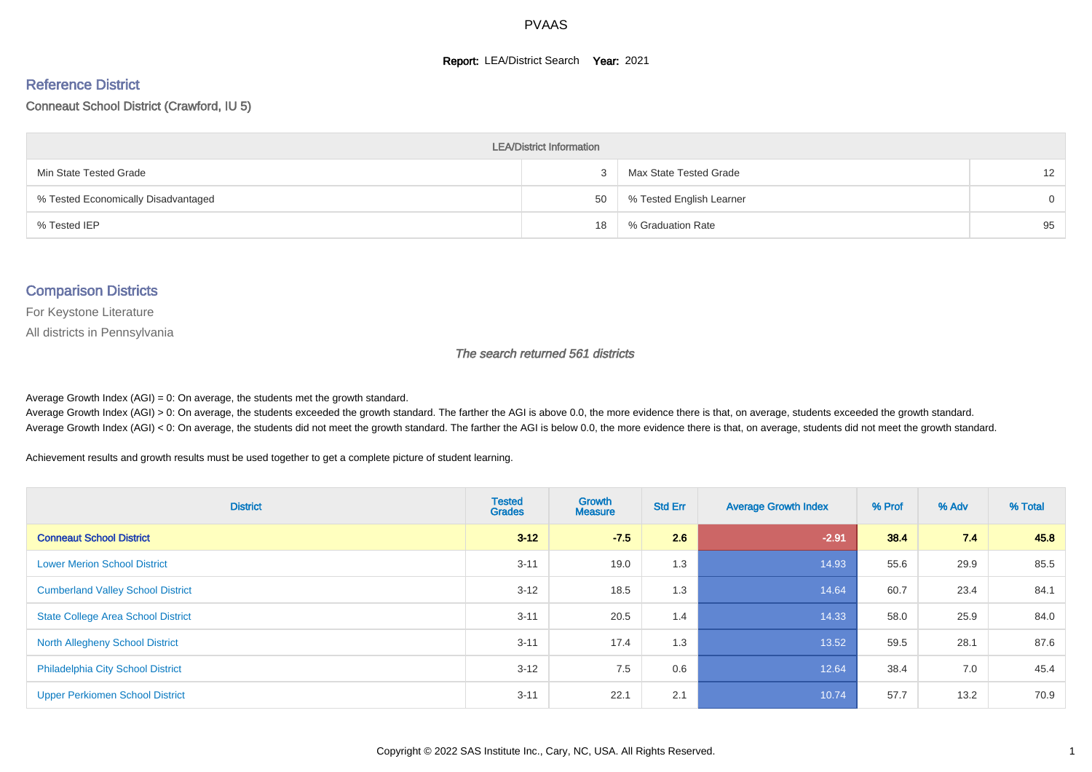#### **Report: LEA/District Search Year: 2021**

#### Reference District

#### Conneaut School District (Crawford, IU 5)

| <b>LEA/District Information</b>     |    |                          |                   |  |  |  |  |  |  |  |
|-------------------------------------|----|--------------------------|-------------------|--|--|--|--|--|--|--|
| Min State Tested Grade              | 3  | Max State Tested Grade   | $12 \overline{ }$ |  |  |  |  |  |  |  |
| % Tested Economically Disadvantaged | 50 | % Tested English Learner | $\Omega$          |  |  |  |  |  |  |  |
| % Tested IEP                        | 18 | % Graduation Rate        | 95                |  |  |  |  |  |  |  |

#### Comparison Districts

For Keystone Literature

All districts in Pennsylvania

The search returned 561 districts

Average Growth Index  $(AGI) = 0$ : On average, the students met the growth standard.

Average Growth Index (AGI) > 0: On average, the students exceeded the growth standard. The farther the AGI is above 0.0, the more evidence there is that, on average, students exceeded the growth standard. Average Growth Index (AGI) < 0: On average, the students did not meet the growth standard. The farther the AGI is below 0.0, the more evidence there is that, on average, students did not meet the growth standard.

Achievement results and growth results must be used together to get a complete picture of student learning.

| <b>District</b>                           | <b>Tested</b><br><b>Grades</b> | Growth<br><b>Measure</b> | <b>Std Err</b> | <b>Average Growth Index</b> | % Prof | % Adv | % Total |
|-------------------------------------------|--------------------------------|--------------------------|----------------|-----------------------------|--------|-------|---------|
| <b>Conneaut School District</b>           | $3 - 12$                       | $-7.5$                   | 2.6            | $-2.91$                     | 38.4   | 7.4   | 45.8    |
| <b>Lower Merion School District</b>       | $3 - 11$                       | 19.0                     | 1.3            | 14.93                       | 55.6   | 29.9  | 85.5    |
| <b>Cumberland Valley School District</b>  | $3 - 12$                       | 18.5                     | 1.3            | 14.64                       | 60.7   | 23.4  | 84.1    |
| <b>State College Area School District</b> | $3 - 11$                       | 20.5                     | 1.4            | 14.33                       | 58.0   | 25.9  | 84.0    |
| <b>North Allegheny School District</b>    | $3 - 11$                       | 17.4                     | 1.3            | 13.52                       | 59.5   | 28.1  | 87.6    |
| <b>Philadelphia City School District</b>  | $3 - 12$                       | 7.5                      | 0.6            | 12.64                       | 38.4   | 7.0   | 45.4    |
| <b>Upper Perkiomen School District</b>    | $3 - 11$                       | 22.1                     | 2.1            | 10.74                       | 57.7   | 13.2  | 70.9    |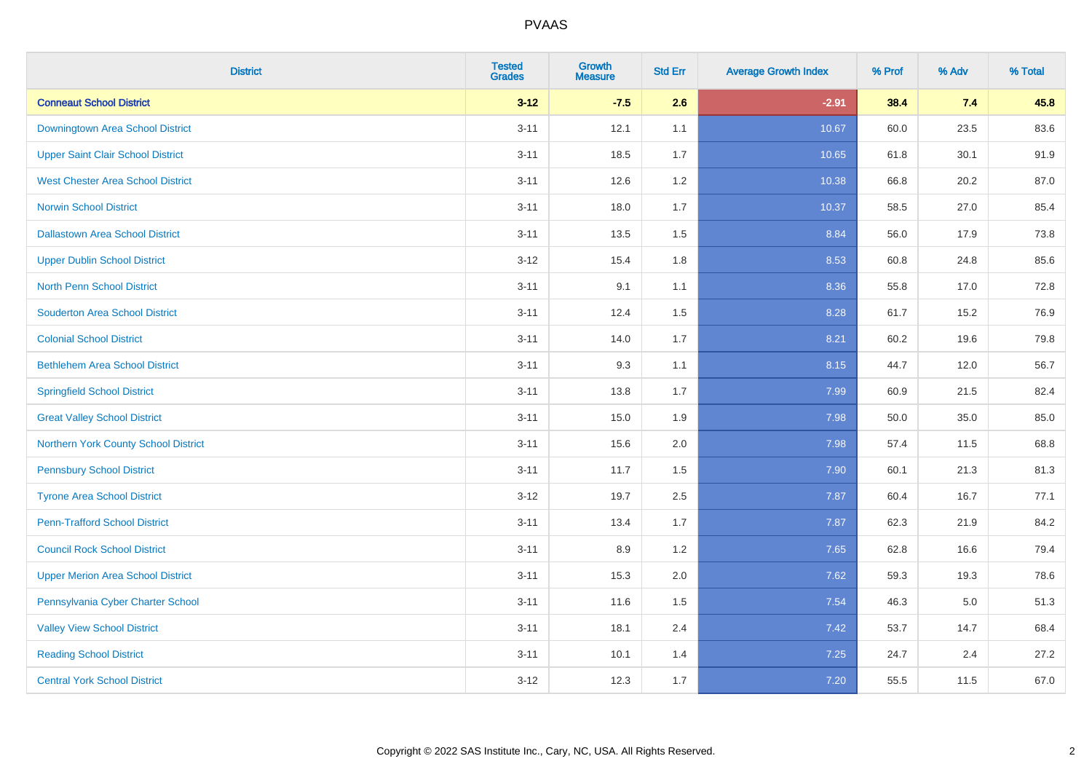| <b>District</b>                          | <b>Tested</b><br><b>Grades</b> | <b>Growth</b><br><b>Measure</b> | <b>Std Err</b> | <b>Average Growth Index</b> | % Prof | % Adv | % Total |
|------------------------------------------|--------------------------------|---------------------------------|----------------|-----------------------------|--------|-------|---------|
| <b>Conneaut School District</b>          | $3 - 12$                       | $-7.5$                          | 2.6            | $-2.91$                     | 38.4   | 7.4   | 45.8    |
| Downingtown Area School District         | $3 - 11$                       | 12.1                            | 1.1            | 10.67                       | 60.0   | 23.5  | 83.6    |
| <b>Upper Saint Clair School District</b> | $3 - 11$                       | 18.5                            | 1.7            | 10.65                       | 61.8   | 30.1  | 91.9    |
| <b>West Chester Area School District</b> | $3 - 11$                       | 12.6                            | $1.2\,$        | 10.38                       | 66.8   | 20.2  | 87.0    |
| <b>Norwin School District</b>            | $3 - 11$                       | 18.0                            | 1.7            | 10.37                       | 58.5   | 27.0  | 85.4    |
| <b>Dallastown Area School District</b>   | $3 - 11$                       | 13.5                            | 1.5            | 8.84                        | 56.0   | 17.9  | 73.8    |
| <b>Upper Dublin School District</b>      | $3 - 12$                       | 15.4                            | 1.8            | 8.53                        | 60.8   | 24.8  | 85.6    |
| <b>North Penn School District</b>        | $3 - 11$                       | 9.1                             | 1.1            | 8.36                        | 55.8   | 17.0  | 72.8    |
| <b>Souderton Area School District</b>    | $3 - 11$                       | 12.4                            | 1.5            | 8.28                        | 61.7   | 15.2  | 76.9    |
| <b>Colonial School District</b>          | $3 - 11$                       | 14.0                            | 1.7            | 8.21                        | 60.2   | 19.6  | 79.8    |
| <b>Bethlehem Area School District</b>    | $3 - 11$                       | 9.3                             | 1.1            | 8.15                        | 44.7   | 12.0  | 56.7    |
| <b>Springfield School District</b>       | $3 - 11$                       | 13.8                            | 1.7            | 7.99                        | 60.9   | 21.5  | 82.4    |
| <b>Great Valley School District</b>      | $3 - 11$                       | 15.0                            | 1.9            | 7.98                        | 50.0   | 35.0  | 85.0    |
| Northern York County School District     | $3 - 11$                       | 15.6                            | 2.0            | 7.98                        | 57.4   | 11.5  | 68.8    |
| <b>Pennsbury School District</b>         | $3 - 11$                       | 11.7                            | 1.5            | 7.90                        | 60.1   | 21.3  | 81.3    |
| <b>Tyrone Area School District</b>       | $3 - 12$                       | 19.7                            | 2.5            | 7.87                        | 60.4   | 16.7  | 77.1    |
| <b>Penn-Trafford School District</b>     | $3 - 11$                       | 13.4                            | 1.7            | 7.87                        | 62.3   | 21.9  | 84.2    |
| <b>Council Rock School District</b>      | $3 - 11$                       | 8.9                             | 1.2            | 7.65                        | 62.8   | 16.6  | 79.4    |
| <b>Upper Merion Area School District</b> | $3 - 11$                       | 15.3                            | 2.0            | 7.62                        | 59.3   | 19.3  | 78.6    |
| Pennsylvania Cyber Charter School        | $3 - 11$                       | 11.6                            | 1.5            | 7.54                        | 46.3   | 5.0   | 51.3    |
| <b>Valley View School District</b>       | $3 - 11$                       | 18.1                            | 2.4            | 7.42                        | 53.7   | 14.7  | 68.4    |
| <b>Reading School District</b>           | $3 - 11$                       | 10.1                            | 1.4            | 7.25                        | 24.7   | 2.4   | 27.2    |
| <b>Central York School District</b>      | $3 - 12$                       | 12.3                            | 1.7            | 7.20                        | 55.5   | 11.5  | 67.0    |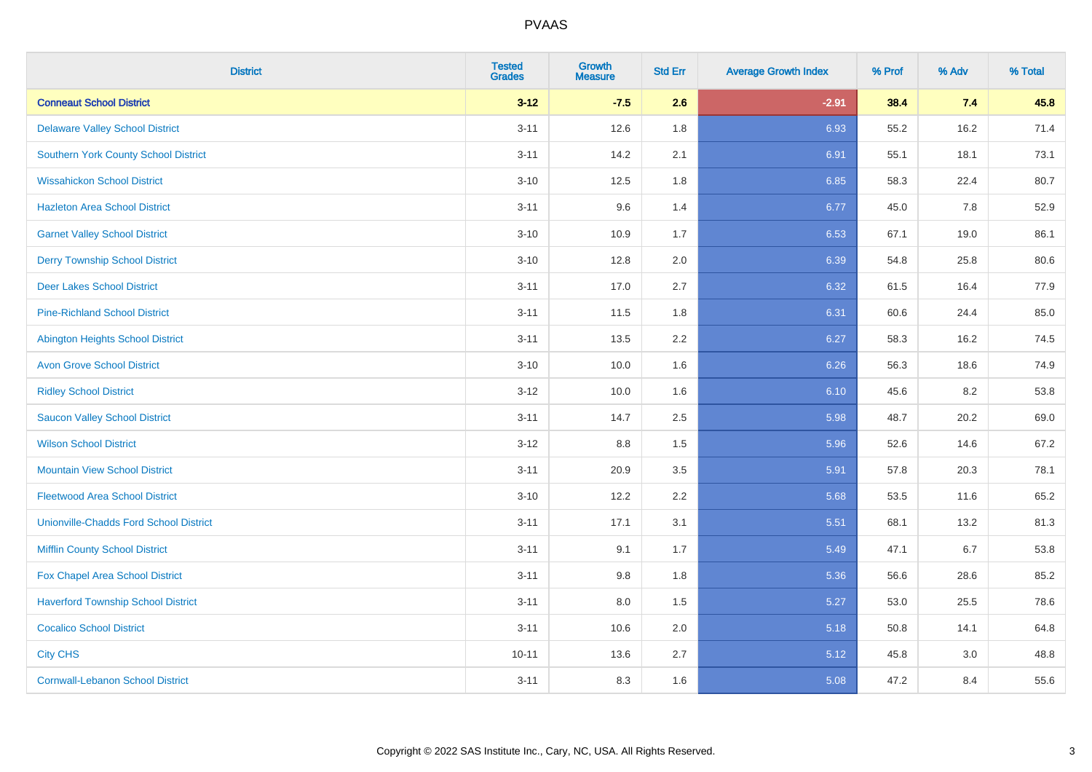| <b>District</b>                               | <b>Tested</b><br><b>Grades</b> | <b>Growth</b><br><b>Measure</b> | <b>Std Err</b> | <b>Average Growth Index</b> | % Prof | % Adv | % Total |
|-----------------------------------------------|--------------------------------|---------------------------------|----------------|-----------------------------|--------|-------|---------|
| <b>Conneaut School District</b>               | $3 - 12$                       | $-7.5$                          | 2.6            | $-2.91$                     | 38.4   | 7.4   | 45.8    |
| <b>Delaware Valley School District</b>        | $3 - 11$                       | 12.6                            | 1.8            | 6.93                        | 55.2   | 16.2  | 71.4    |
| <b>Southern York County School District</b>   | $3 - 11$                       | 14.2                            | 2.1            | 6.91                        | 55.1   | 18.1  | 73.1    |
| <b>Wissahickon School District</b>            | $3 - 10$                       | 12.5                            | 1.8            | 6.85                        | 58.3   | 22.4  | 80.7    |
| <b>Hazleton Area School District</b>          | $3 - 11$                       | 9.6                             | 1.4            | 6.77                        | 45.0   | 7.8   | 52.9    |
| <b>Garnet Valley School District</b>          | $3 - 10$                       | 10.9                            | 1.7            | 6.53                        | 67.1   | 19.0  | 86.1    |
| <b>Derry Township School District</b>         | $3 - 10$                       | 12.8                            | 2.0            | 6.39                        | 54.8   | 25.8  | 80.6    |
| <b>Deer Lakes School District</b>             | $3 - 11$                       | 17.0                            | 2.7            | 6.32                        | 61.5   | 16.4  | 77.9    |
| <b>Pine-Richland School District</b>          | $3 - 11$                       | 11.5                            | 1.8            | 6.31                        | 60.6   | 24.4  | 85.0    |
| <b>Abington Heights School District</b>       | $3 - 11$                       | 13.5                            | 2.2            | 6.27                        | 58.3   | 16.2  | 74.5    |
| <b>Avon Grove School District</b>             | $3 - 10$                       | 10.0                            | 1.6            | 6.26                        | 56.3   | 18.6  | 74.9    |
| <b>Ridley School District</b>                 | $3 - 12$                       | 10.0                            | 1.6            | 6.10                        | 45.6   | 8.2   | 53.8    |
| <b>Saucon Valley School District</b>          | $3 - 11$                       | 14.7                            | 2.5            | 5.98                        | 48.7   | 20.2  | 69.0    |
| <b>Wilson School District</b>                 | $3-12$                         | 8.8                             | 1.5            | 5.96                        | 52.6   | 14.6  | 67.2    |
| <b>Mountain View School District</b>          | $3 - 11$                       | 20.9                            | 3.5            | 5.91                        | 57.8   | 20.3  | 78.1    |
| <b>Fleetwood Area School District</b>         | $3 - 10$                       | 12.2                            | 2.2            | 5.68                        | 53.5   | 11.6  | 65.2    |
| <b>Unionville-Chadds Ford School District</b> | $3 - 11$                       | 17.1                            | 3.1            | 5.51                        | 68.1   | 13.2  | 81.3    |
| <b>Mifflin County School District</b>         | $3 - 11$                       | 9.1                             | 1.7            | 5.49                        | 47.1   | 6.7   | 53.8    |
| Fox Chapel Area School District               | $3 - 11$                       | 9.8                             | 1.8            | 5.36                        | 56.6   | 28.6  | 85.2    |
| <b>Haverford Township School District</b>     | $3 - 11$                       | 8.0                             | 1.5            | 5.27                        | 53.0   | 25.5  | 78.6    |
| <b>Cocalico School District</b>               | $3 - 11$                       | 10.6                            | 2.0            | 5.18                        | 50.8   | 14.1  | 64.8    |
| <b>City CHS</b>                               | $10 - 11$                      | 13.6                            | 2.7            | 5.12                        | 45.8   | 3.0   | 48.8    |
| <b>Cornwall-Lebanon School District</b>       | $3 - 11$                       | 8.3                             | 1.6            | 5.08                        | 47.2   | 8.4   | 55.6    |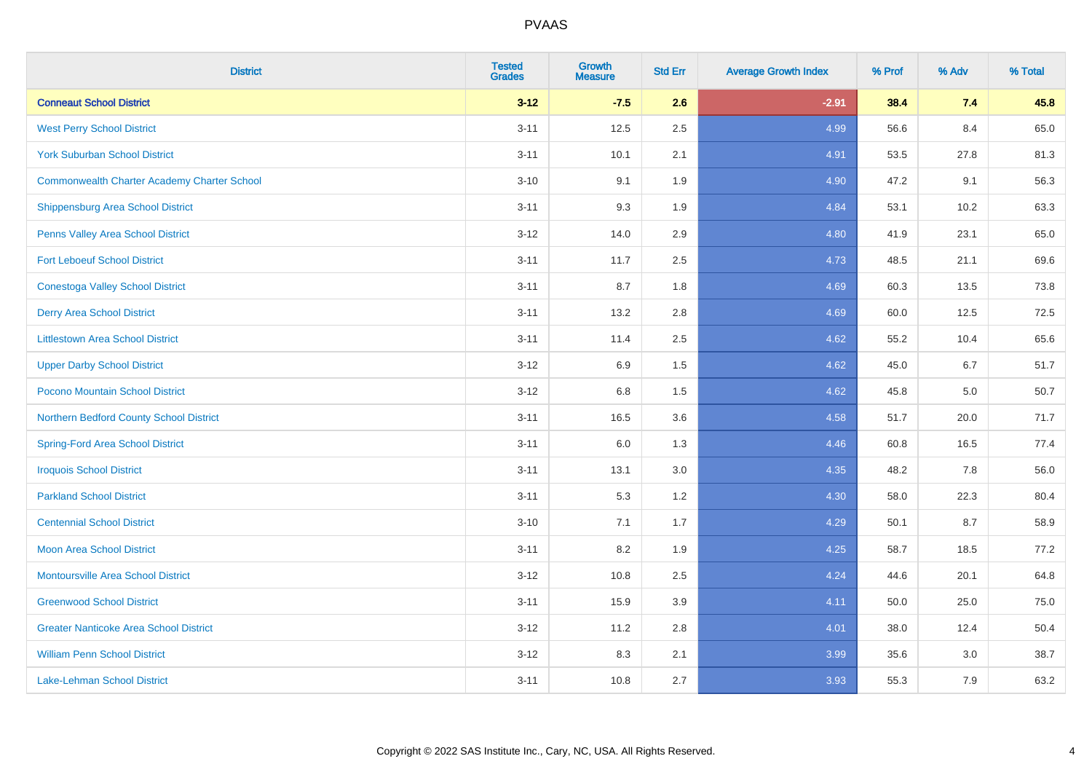| <b>District</b>                                    | <b>Tested</b><br><b>Grades</b> | <b>Growth</b><br><b>Measure</b> | <b>Std Err</b> | <b>Average Growth Index</b> | % Prof | % Adv | % Total |
|----------------------------------------------------|--------------------------------|---------------------------------|----------------|-----------------------------|--------|-------|---------|
| <b>Conneaut School District</b>                    | $3 - 12$                       | $-7.5$                          | 2.6            | $-2.91$                     | 38.4   | 7.4   | 45.8    |
| <b>West Perry School District</b>                  | $3 - 11$                       | 12.5                            | 2.5            | 4.99                        | 56.6   | 8.4   | 65.0    |
| <b>York Suburban School District</b>               | $3 - 11$                       | 10.1                            | 2.1            | 4.91                        | 53.5   | 27.8  | 81.3    |
| <b>Commonwealth Charter Academy Charter School</b> | $3 - 10$                       | 9.1                             | 1.9            | 4.90                        | 47.2   | 9.1   | 56.3    |
| Shippensburg Area School District                  | $3 - 11$                       | 9.3                             | 1.9            | 4.84                        | 53.1   | 10.2  | 63.3    |
| Penns Valley Area School District                  | $3 - 12$                       | 14.0                            | 2.9            | 4.80                        | 41.9   | 23.1  | 65.0    |
| <b>Fort Leboeuf School District</b>                | $3 - 11$                       | 11.7                            | 2.5            | 4.73                        | 48.5   | 21.1  | 69.6    |
| <b>Conestoga Valley School District</b>            | $3 - 11$                       | 8.7                             | 1.8            | 4.69                        | 60.3   | 13.5  | 73.8    |
| <b>Derry Area School District</b>                  | $3 - 11$                       | 13.2                            | 2.8            | 4.69                        | 60.0   | 12.5  | 72.5    |
| <b>Littlestown Area School District</b>            | $3 - 11$                       | 11.4                            | $2.5\,$        | 4.62                        | 55.2   | 10.4  | 65.6    |
| <b>Upper Darby School District</b>                 | $3 - 12$                       | 6.9                             | 1.5            | 4.62                        | 45.0   | 6.7   | 51.7    |
| Pocono Mountain School District                    | $3 - 12$                       | 6.8                             | 1.5            | 4.62                        | 45.8   | 5.0   | 50.7    |
| Northern Bedford County School District            | $3 - 11$                       | 16.5                            | 3.6            | 4.58                        | 51.7   | 20.0  | 71.7    |
| <b>Spring-Ford Area School District</b>            | $3 - 11$                       | 6.0                             | 1.3            | 4.46                        | 60.8   | 16.5  | 77.4    |
| <b>Iroquois School District</b>                    | $3 - 11$                       | 13.1                            | 3.0            | 4.35                        | 48.2   | 7.8   | 56.0    |
| <b>Parkland School District</b>                    | $3 - 11$                       | 5.3                             | 1.2            | 4.30                        | 58.0   | 22.3  | 80.4    |
| <b>Centennial School District</b>                  | $3 - 10$                       | 7.1                             | 1.7            | 4.29                        | 50.1   | 8.7   | 58.9    |
| <b>Moon Area School District</b>                   | $3 - 11$                       | 8.2                             | 1.9            | 4.25                        | 58.7   | 18.5  | 77.2    |
| <b>Montoursville Area School District</b>          | $3 - 12$                       | 10.8                            | 2.5            | 4.24                        | 44.6   | 20.1  | 64.8    |
| <b>Greenwood School District</b>                   | $3 - 11$                       | 15.9                            | 3.9            | 4.11                        | 50.0   | 25.0  | 75.0    |
| <b>Greater Nanticoke Area School District</b>      | $3 - 12$                       | 11.2                            | 2.8            | 4.01                        | 38.0   | 12.4  | 50.4    |
| <b>William Penn School District</b>                | $3 - 12$                       | 8.3                             | 2.1            | 3.99                        | 35.6   | 3.0   | 38.7    |
| <b>Lake-Lehman School District</b>                 | $3 - 11$                       | 10.8                            | 2.7            | 3.93                        | 55.3   | 7.9   | 63.2    |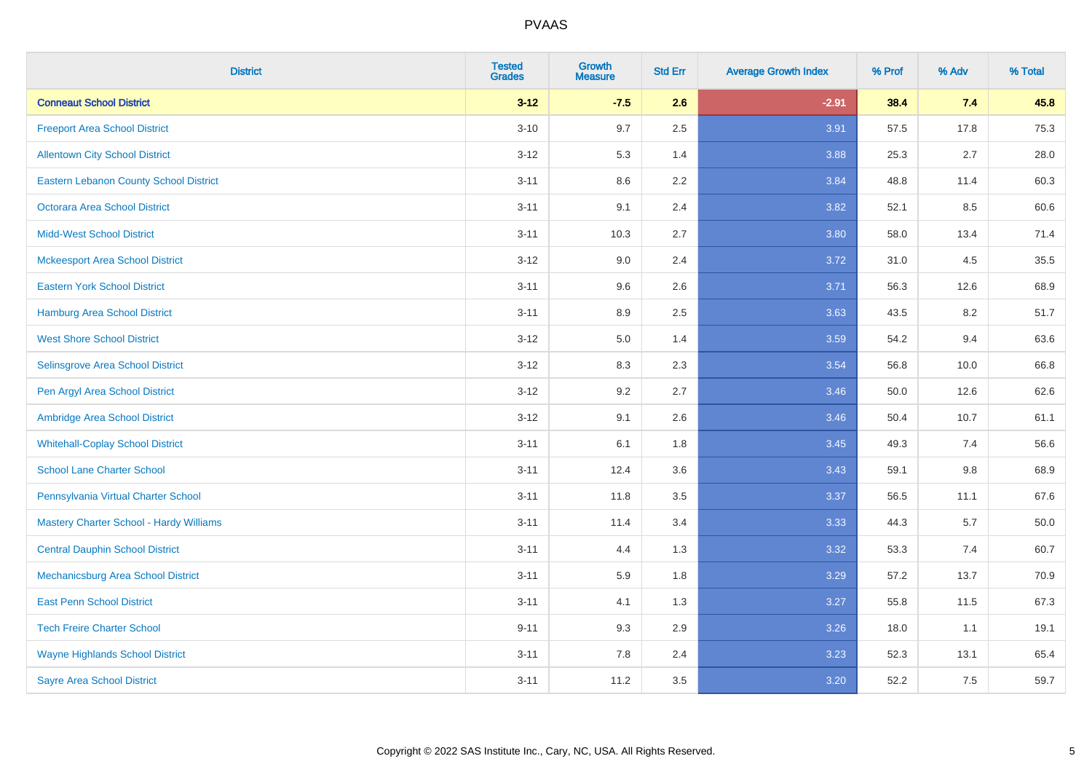| <b>District</b>                                | <b>Tested</b><br><b>Grades</b> | Growth<br><b>Measure</b> | <b>Std Err</b> | <b>Average Growth Index</b> | % Prof | % Adv   | % Total |
|------------------------------------------------|--------------------------------|--------------------------|----------------|-----------------------------|--------|---------|---------|
| <b>Conneaut School District</b>                | $3 - 12$                       | $-7.5$                   | 2.6            | $-2.91$                     | 38.4   | 7.4     | 45.8    |
| <b>Freeport Area School District</b>           | $3 - 10$                       | 9.7                      | 2.5            | 3.91                        | 57.5   | 17.8    | 75.3    |
| <b>Allentown City School District</b>          | $3 - 12$                       | 5.3                      | 1.4            | 3.88                        | 25.3   | 2.7     | 28.0    |
| <b>Eastern Lebanon County School District</b>  | $3 - 11$                       | 8.6                      | 2.2            | 3.84                        | 48.8   | 11.4    | 60.3    |
| Octorara Area School District                  | $3 - 11$                       | 9.1                      | 2.4            | 3.82                        | 52.1   | 8.5     | 60.6    |
| <b>Midd-West School District</b>               | $3 - 11$                       | 10.3                     | 2.7            | 3.80                        | 58.0   | 13.4    | 71.4    |
| <b>Mckeesport Area School District</b>         | $3 - 12$                       | 9.0                      | 2.4            | 3.72                        | 31.0   | 4.5     | 35.5    |
| <b>Eastern York School District</b>            | $3 - 11$                       | 9.6                      | 2.6            | 3.71                        | 56.3   | 12.6    | 68.9    |
| <b>Hamburg Area School District</b>            | $3 - 11$                       | 8.9                      | 2.5            | 3.63                        | 43.5   | 8.2     | 51.7    |
| <b>West Shore School District</b>              | $3 - 12$                       | 5.0                      | 1.4            | 3.59                        | 54.2   | 9.4     | 63.6    |
| Selinsgrove Area School District               | $3 - 12$                       | 8.3                      | 2.3            | 3.54                        | 56.8   | 10.0    | 66.8    |
| Pen Argyl Area School District                 | $3-12$                         | 9.2                      | 2.7            | 3.46                        | 50.0   | 12.6    | 62.6    |
| Ambridge Area School District                  | $3 - 12$                       | 9.1                      | 2.6            | 3.46                        | 50.4   | 10.7    | 61.1    |
| <b>Whitehall-Coplay School District</b>        | $3 - 11$                       | 6.1                      | 1.8            | 3.45                        | 49.3   | 7.4     | 56.6    |
| <b>School Lane Charter School</b>              | $3 - 11$                       | 12.4                     | 3.6            | 3.43                        | 59.1   | $9.8\,$ | 68.9    |
| Pennsylvania Virtual Charter School            | $3 - 11$                       | 11.8                     | 3.5            | 3.37                        | 56.5   | 11.1    | 67.6    |
| <b>Mastery Charter School - Hardy Williams</b> | $3 - 11$                       | 11.4                     | 3.4            | 3.33                        | 44.3   | 5.7     | 50.0    |
| <b>Central Dauphin School District</b>         | $3 - 11$                       | 4.4                      | 1.3            | 3.32                        | 53.3   | 7.4     | 60.7    |
| Mechanicsburg Area School District             | $3 - 11$                       | 5.9                      | 1.8            | 3.29                        | 57.2   | 13.7    | 70.9    |
| <b>East Penn School District</b>               | $3 - 11$                       | 4.1                      | 1.3            | 3.27                        | 55.8   | 11.5    | 67.3    |
| <b>Tech Freire Charter School</b>              | $9 - 11$                       | 9.3                      | 2.9            | 3.26                        | 18.0   | 1.1     | 19.1    |
| <b>Wayne Highlands School District</b>         | $3 - 11$                       | 7.8                      | 2.4            | 3.23                        | 52.3   | 13.1    | 65.4    |
| <b>Sayre Area School District</b>              | $3 - 11$                       | 11.2                     | 3.5            | 3.20                        | 52.2   | 7.5     | 59.7    |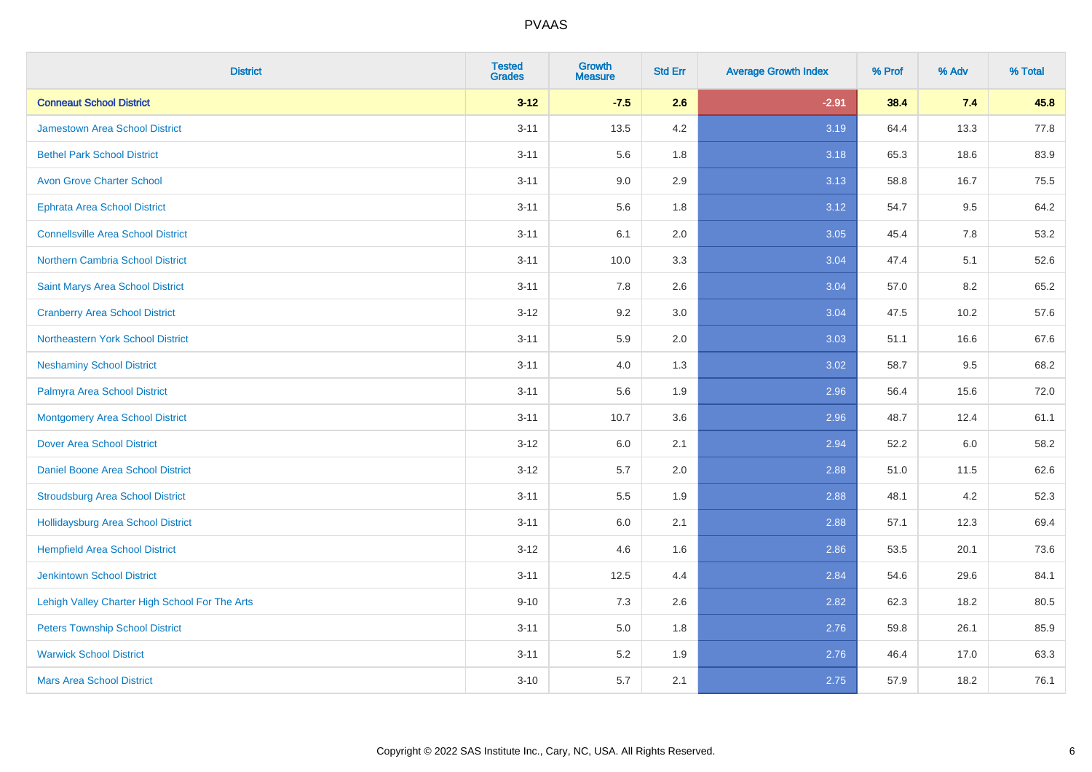| <b>District</b>                                | <b>Tested</b><br><b>Grades</b> | <b>Growth</b><br><b>Measure</b> | <b>Std Err</b> | <b>Average Growth Index</b> | % Prof | % Adv   | % Total |
|------------------------------------------------|--------------------------------|---------------------------------|----------------|-----------------------------|--------|---------|---------|
| <b>Conneaut School District</b>                | $3 - 12$                       | $-7.5$                          | 2.6            | $-2.91$                     | 38.4   | 7.4     | 45.8    |
| <b>Jamestown Area School District</b>          | $3 - 11$                       | 13.5                            | 4.2            | 3.19                        | 64.4   | 13.3    | 77.8    |
| <b>Bethel Park School District</b>             | $3 - 11$                       | 5.6                             | 1.8            | 3.18                        | 65.3   | 18.6    | 83.9    |
| <b>Avon Grove Charter School</b>               | $3 - 11$                       | 9.0                             | 2.9            | 3.13                        | 58.8   | 16.7    | 75.5    |
| Ephrata Area School District                   | $3 - 11$                       | 5.6                             | 1.8            | 3.12                        | 54.7   | 9.5     | 64.2    |
| <b>Connellsville Area School District</b>      | $3 - 11$                       | 6.1                             | 2.0            | 3.05                        | 45.4   | 7.8     | 53.2    |
| Northern Cambria School District               | $3 - 11$                       | 10.0                            | 3.3            | 3.04                        | 47.4   | 5.1     | 52.6    |
| Saint Marys Area School District               | $3 - 11$                       | 7.8                             | 2.6            | 3.04                        | 57.0   | 8.2     | 65.2    |
| <b>Cranberry Area School District</b>          | $3 - 12$                       | 9.2                             | 3.0            | 3.04                        | 47.5   | 10.2    | 57.6    |
| Northeastern York School District              | $3 - 11$                       | 5.9                             | 2.0            | 3.03                        | 51.1   | 16.6    | 67.6    |
| <b>Neshaminy School District</b>               | $3 - 11$                       | 4.0                             | 1.3            | 3.02                        | 58.7   | 9.5     | 68.2    |
| Palmyra Area School District                   | $3 - 11$                       | 5.6                             | 1.9            | 2.96                        | 56.4   | 15.6    | 72.0    |
| <b>Montgomery Area School District</b>         | $3 - 11$                       | 10.7                            | 3.6            | 2.96                        | 48.7   | 12.4    | 61.1    |
| <b>Dover Area School District</b>              | $3-12$                         | 6.0                             | 2.1            | 2.94                        | 52.2   | $6.0\,$ | 58.2    |
| <b>Daniel Boone Area School District</b>       | $3-12$                         | 5.7                             | 2.0            | 2.88                        | 51.0   | 11.5    | 62.6    |
| <b>Stroudsburg Area School District</b>        | $3 - 11$                       | 5.5                             | 1.9            | 2.88                        | 48.1   | 4.2     | 52.3    |
| Hollidaysburg Area School District             | $3 - 11$                       | 6.0                             | 2.1            | 2.88                        | 57.1   | 12.3    | 69.4    |
| <b>Hempfield Area School District</b>          | $3-12$                         | 4.6                             | 1.6            | 2.86                        | 53.5   | 20.1    | 73.6    |
| <b>Jenkintown School District</b>              | $3 - 11$                       | 12.5                            | 4.4            | 2.84                        | 54.6   | 29.6    | 84.1    |
| Lehigh Valley Charter High School For The Arts | $9 - 10$                       | 7.3                             | 2.6            | 2.82                        | 62.3   | 18.2    | 80.5    |
| <b>Peters Township School District</b>         | $3 - 11$                       | 5.0                             | 1.8            | 2.76                        | 59.8   | 26.1    | 85.9    |
| <b>Warwick School District</b>                 | $3 - 11$                       | 5.2                             | 1.9            | 2.76                        | 46.4   | 17.0    | 63.3    |
| <b>Mars Area School District</b>               | $3 - 10$                       | 5.7                             | 2.1            | 2.75                        | 57.9   | 18.2    | 76.1    |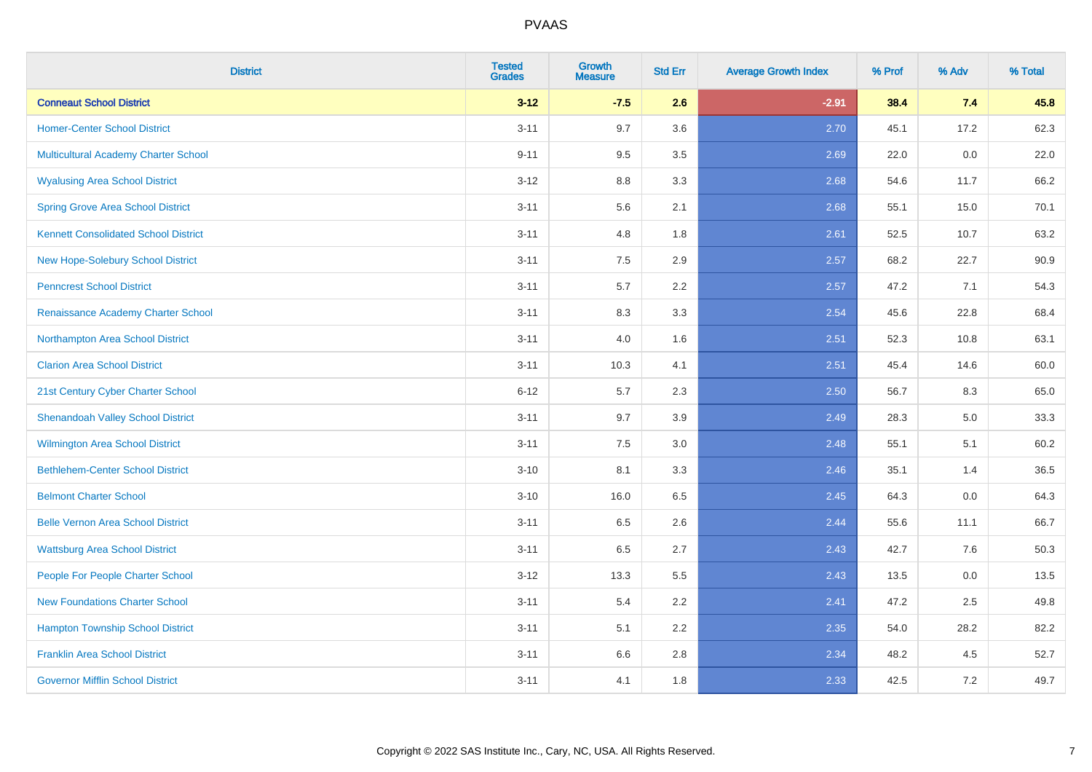| <b>District</b>                             | <b>Tested</b><br><b>Grades</b> | <b>Growth</b><br><b>Measure</b> | <b>Std Err</b> | <b>Average Growth Index</b> | % Prof | % Adv | % Total |
|---------------------------------------------|--------------------------------|---------------------------------|----------------|-----------------------------|--------|-------|---------|
| <b>Conneaut School District</b>             | $3 - 12$                       | $-7.5$                          | 2.6            | $-2.91$                     | 38.4   | 7.4   | 45.8    |
| <b>Homer-Center School District</b>         | $3 - 11$                       | 9.7                             | 3.6            | 2.70                        | 45.1   | 17.2  | 62.3    |
| Multicultural Academy Charter School        | $9 - 11$                       | 9.5                             | 3.5            | 2.69                        | 22.0   | 0.0   | 22.0    |
| <b>Wyalusing Area School District</b>       | $3 - 12$                       | $8.8\,$                         | 3.3            | 2.68                        | 54.6   | 11.7  | 66.2    |
| <b>Spring Grove Area School District</b>    | $3 - 11$                       | 5.6                             | 2.1            | 2.68                        | 55.1   | 15.0  | 70.1    |
| <b>Kennett Consolidated School District</b> | $3 - 11$                       | 4.8                             | 1.8            | 2.61                        | 52.5   | 10.7  | 63.2    |
| New Hope-Solebury School District           | $3 - 11$                       | $7.5\,$                         | 2.9            | 2.57                        | 68.2   | 22.7  | 90.9    |
| <b>Penncrest School District</b>            | $3 - 11$                       | 5.7                             | 2.2            | 2.57                        | 47.2   | 7.1   | 54.3    |
| Renaissance Academy Charter School          | $3 - 11$                       | 8.3                             | 3.3            | 2.54                        | 45.6   | 22.8  | 68.4    |
| Northampton Area School District            | $3 - 11$                       | 4.0                             | 1.6            | 2.51                        | 52.3   | 10.8  | 63.1    |
| <b>Clarion Area School District</b>         | $3 - 11$                       | 10.3                            | 4.1            | 2.51                        | 45.4   | 14.6  | 60.0    |
| 21st Century Cyber Charter School           | $6 - 12$                       | 5.7                             | 2.3            | 2.50                        | 56.7   | 8.3   | 65.0    |
| <b>Shenandoah Valley School District</b>    | $3 - 11$                       | 9.7                             | 3.9            | 2.49                        | 28.3   | 5.0   | 33.3    |
| Wilmington Area School District             | $3 - 11$                       | 7.5                             | 3.0            | 2.48                        | 55.1   | 5.1   | 60.2    |
| <b>Bethlehem-Center School District</b>     | $3 - 10$                       | 8.1                             | 3.3            | 2.46                        | 35.1   | 1.4   | 36.5    |
| <b>Belmont Charter School</b>               | $3 - 10$                       | 16.0                            | 6.5            | 2.45                        | 64.3   | 0.0   | 64.3    |
| <b>Belle Vernon Area School District</b>    | $3 - 11$                       | 6.5                             | 2.6            | 2.44                        | 55.6   | 11.1  | 66.7    |
| <b>Wattsburg Area School District</b>       | $3 - 11$                       | 6.5                             | 2.7            | 2.43                        | 42.7   | 7.6   | 50.3    |
| People For People Charter School            | $3 - 12$                       | 13.3                            | 5.5            | 2.43                        | 13.5   | 0.0   | 13.5    |
| <b>New Foundations Charter School</b>       | $3 - 11$                       | 5.4                             | 2.2            | 2.41                        | 47.2   | 2.5   | 49.8    |
| <b>Hampton Township School District</b>     | $3 - 11$                       | 5.1                             | 2.2            | 2.35                        | 54.0   | 28.2  | 82.2    |
| <b>Franklin Area School District</b>        | $3 - 11$                       | 6.6                             | 2.8            | 2.34                        | 48.2   | 4.5   | 52.7    |
| <b>Governor Mifflin School District</b>     | $3 - 11$                       | 4.1                             | 1.8            | 2.33                        | 42.5   | 7.2   | 49.7    |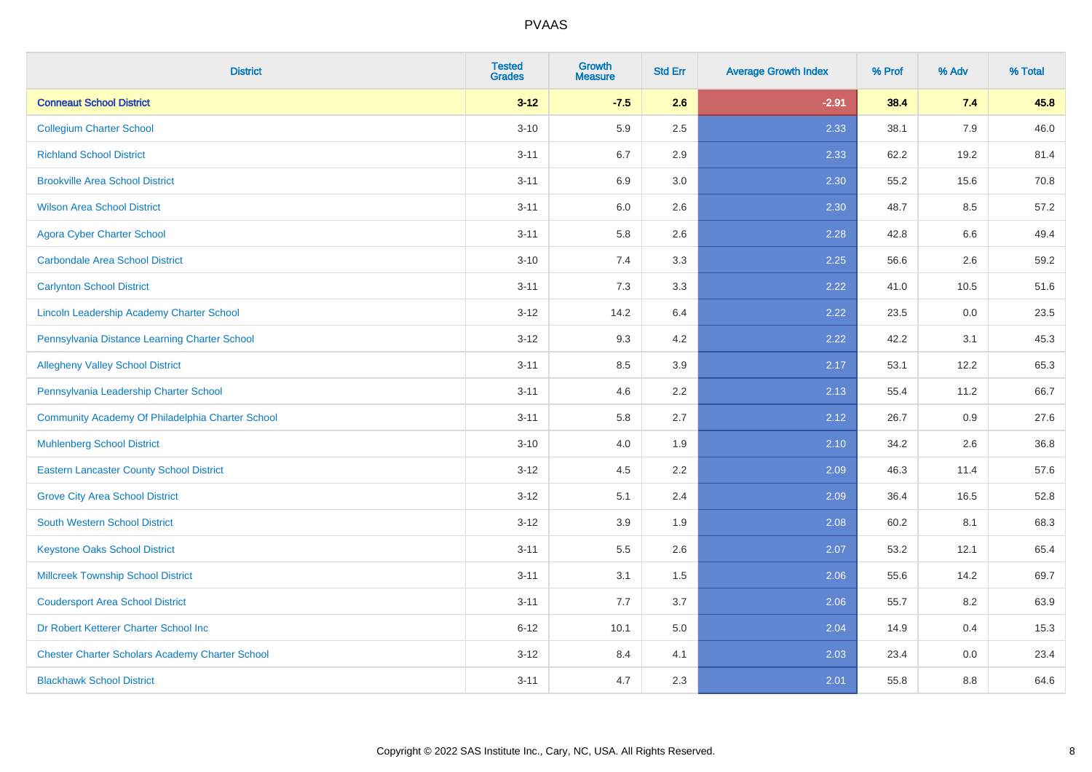| <b>District</b>                                        | <b>Tested</b><br><b>Grades</b> | <b>Growth</b><br><b>Measure</b> | <b>Std Err</b> | <b>Average Growth Index</b> | % Prof | % Adv | % Total |
|--------------------------------------------------------|--------------------------------|---------------------------------|----------------|-----------------------------|--------|-------|---------|
| <b>Conneaut School District</b>                        | $3 - 12$                       | $-7.5$                          | 2.6            | $-2.91$                     | 38.4   | 7.4   | 45.8    |
| <b>Collegium Charter School</b>                        | $3 - 10$                       | 5.9                             | 2.5            | 2.33                        | 38.1   | 7.9   | 46.0    |
| <b>Richland School District</b>                        | $3 - 11$                       | 6.7                             | 2.9            | 2.33                        | 62.2   | 19.2  | 81.4    |
| <b>Brookville Area School District</b>                 | $3 - 11$                       | 6.9                             | 3.0            | 2.30                        | 55.2   | 15.6  | 70.8    |
| <b>Wilson Area School District</b>                     | $3 - 11$                       | 6.0                             | 2.6            | 2.30                        | 48.7   | 8.5   | 57.2    |
| <b>Agora Cyber Charter School</b>                      | $3 - 11$                       | 5.8                             | 2.6            | 2.28                        | 42.8   | 6.6   | 49.4    |
| <b>Carbondale Area School District</b>                 | $3 - 10$                       | 7.4                             | 3.3            | 2.25                        | 56.6   | 2.6   | 59.2    |
| <b>Carlynton School District</b>                       | $3 - 11$                       | 7.3                             | 3.3            | 2.22                        | 41.0   | 10.5  | 51.6    |
| Lincoln Leadership Academy Charter School              | $3 - 12$                       | 14.2                            | 6.4            | 2.22                        | 23.5   | 0.0   | 23.5    |
| Pennsylvania Distance Learning Charter School          | $3 - 12$                       | 9.3                             | 4.2            | 2.22                        | 42.2   | 3.1   | 45.3    |
| <b>Allegheny Valley School District</b>                | $3 - 11$                       | 8.5                             | 3.9            | 2.17                        | 53.1   | 12.2  | 65.3    |
| Pennsylvania Leadership Charter School                 | $3 - 11$                       | 4.6                             | 2.2            | 2.13                        | 55.4   | 11.2  | 66.7    |
| Community Academy Of Philadelphia Charter School       | $3 - 11$                       | 5.8                             | 2.7            | 2.12                        | 26.7   | 0.9   | 27.6    |
| <b>Muhlenberg School District</b>                      | $3 - 10$                       | 4.0                             | 1.9            | 2.10                        | 34.2   | 2.6   | 36.8    |
| <b>Eastern Lancaster County School District</b>        | $3 - 12$                       | 4.5                             | 2.2            | 2.09                        | 46.3   | 11.4  | 57.6    |
| <b>Grove City Area School District</b>                 | $3 - 12$                       | 5.1                             | 2.4            | 2.09                        | 36.4   | 16.5  | 52.8    |
| <b>South Western School District</b>                   | $3 - 12$                       | 3.9                             | 1.9            | 2.08                        | 60.2   | 8.1   | 68.3    |
| <b>Keystone Oaks School District</b>                   | $3 - 11$                       | $5.5\,$                         | 2.6            | 2.07                        | 53.2   | 12.1  | 65.4    |
| <b>Millcreek Township School District</b>              | $3 - 11$                       | 3.1                             | 1.5            | 2.06                        | 55.6   | 14.2  | 69.7    |
| <b>Coudersport Area School District</b>                | $3 - 11$                       | 7.7                             | 3.7            | 2.06                        | 55.7   | 8.2   | 63.9    |
| Dr Robert Ketterer Charter School Inc                  | $6 - 12$                       | 10.1                            | 5.0            | 2.04                        | 14.9   | 0.4   | 15.3    |
| <b>Chester Charter Scholars Academy Charter School</b> | $3 - 12$                       | 8.4                             | 4.1            | 2.03                        | 23.4   | 0.0   | 23.4    |
| <b>Blackhawk School District</b>                       | $3 - 11$                       | 4.7                             | 2.3            | 2.01                        | 55.8   | 8.8   | 64.6    |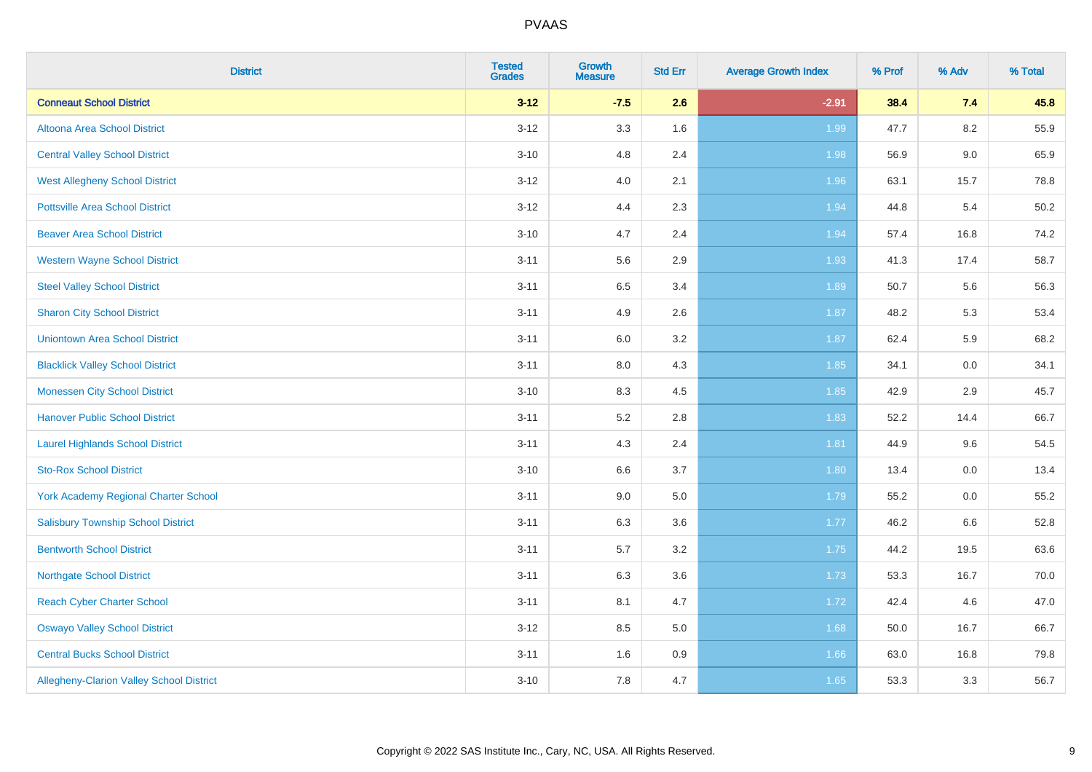| <b>District</b>                             | <b>Tested</b><br><b>Grades</b> | <b>Growth</b><br><b>Measure</b> | <b>Std Err</b> | <b>Average Growth Index</b> | % Prof | % Adv | % Total |
|---------------------------------------------|--------------------------------|---------------------------------|----------------|-----------------------------|--------|-------|---------|
| <b>Conneaut School District</b>             | $3 - 12$                       | $-7.5$                          | 2.6            | $-2.91$                     | 38.4   | 7.4   | 45.8    |
| Altoona Area School District                | $3 - 12$                       | 3.3                             | 1.6            | 1.99                        | 47.7   | 8.2   | 55.9    |
| <b>Central Valley School District</b>       | $3 - 10$                       | 4.8                             | 2.4            | 1.98                        | 56.9   | 9.0   | 65.9    |
| <b>West Allegheny School District</b>       | $3 - 12$                       | 4.0                             | 2.1            | 1.96                        | 63.1   | 15.7  | 78.8    |
| <b>Pottsville Area School District</b>      | $3 - 12$                       | 4.4                             | 2.3            | 1.94                        | 44.8   | 5.4   | 50.2    |
| <b>Beaver Area School District</b>          | $3 - 10$                       | 4.7                             | 2.4            | 1.94                        | 57.4   | 16.8  | 74.2    |
| <b>Western Wayne School District</b>        | $3 - 11$                       | 5.6                             | 2.9            | 1.93                        | 41.3   | 17.4  | 58.7    |
| <b>Steel Valley School District</b>         | $3 - 11$                       | 6.5                             | 3.4            | 1.89                        | 50.7   | 5.6   | 56.3    |
| <b>Sharon City School District</b>          | $3 - 11$                       | 4.9                             | 2.6            | 1.87                        | 48.2   | 5.3   | 53.4    |
| <b>Uniontown Area School District</b>       | $3 - 11$                       | 6.0                             | $3.2\,$        | 1.87                        | 62.4   | 5.9   | 68.2    |
| <b>Blacklick Valley School District</b>     | $3 - 11$                       | 8.0                             | 4.3            | 1.85                        | 34.1   | 0.0   | 34.1    |
| <b>Monessen City School District</b>        | $3 - 10$                       | 8.3                             | 4.5            | 1.85                        | 42.9   | 2.9   | 45.7    |
| <b>Hanover Public School District</b>       | $3 - 11$                       | 5.2                             | 2.8            | 1.83                        | 52.2   | 14.4  | 66.7    |
| <b>Laurel Highlands School District</b>     | $3 - 11$                       | 4.3                             | 2.4            | 1.81                        | 44.9   | 9.6   | 54.5    |
| <b>Sto-Rox School District</b>              | $3 - 10$                       | 6.6                             | 3.7            | 1.80                        | 13.4   | 0.0   | 13.4    |
| <b>York Academy Regional Charter School</b> | $3 - 11$                       | 9.0                             | 5.0            | 1.79                        | 55.2   | 0.0   | 55.2    |
| <b>Salisbury Township School District</b>   | $3 - 11$                       | 6.3                             | 3.6            | 1.77                        | 46.2   | 6.6   | 52.8    |
| <b>Bentworth School District</b>            | $3 - 11$                       | 5.7                             | 3.2            | 1.75                        | 44.2   | 19.5  | 63.6    |
| <b>Northgate School District</b>            | $3 - 11$                       | 6.3                             | 3.6            | 1.73                        | 53.3   | 16.7  | 70.0    |
| <b>Reach Cyber Charter School</b>           | $3 - 11$                       | 8.1                             | 4.7            | 1.72                        | 42.4   | 4.6   | 47.0    |
| <b>Oswayo Valley School District</b>        | $3 - 12$                       | 8.5                             | 5.0            | 1.68                        | 50.0   | 16.7  | 66.7    |
| <b>Central Bucks School District</b>        | $3 - 11$                       | 1.6                             | 0.9            | 1.66                        | 63.0   | 16.8  | 79.8    |
| Allegheny-Clarion Valley School District    | $3 - 10$                       | 7.8                             | 4.7            | 1.65                        | 53.3   | 3.3   | 56.7    |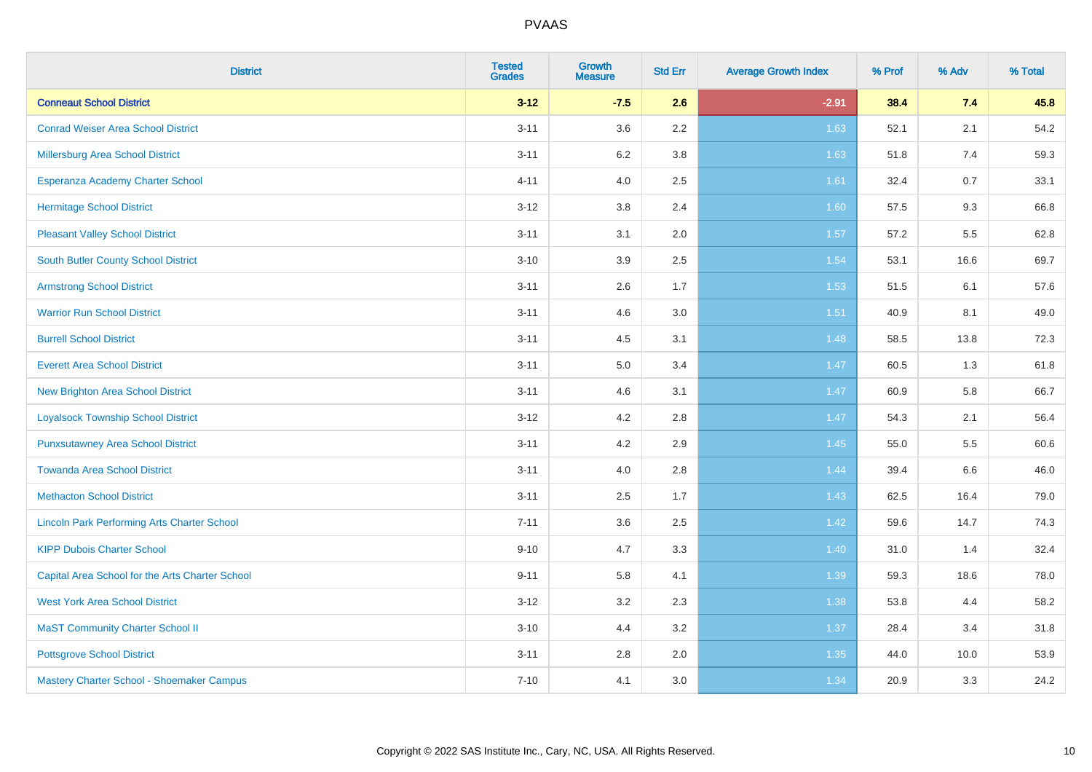| <b>District</b>                                    | <b>Tested</b><br><b>Grades</b> | <b>Growth</b><br><b>Measure</b> | <b>Std Err</b> | <b>Average Growth Index</b> | % Prof | % Adv   | % Total |
|----------------------------------------------------|--------------------------------|---------------------------------|----------------|-----------------------------|--------|---------|---------|
| <b>Conneaut School District</b>                    | $3 - 12$                       | $-7.5$                          | 2.6            | $-2.91$                     | 38.4   | 7.4     | 45.8    |
| <b>Conrad Weiser Area School District</b>          | $3 - 11$                       | 3.6                             | 2.2            | 1.63                        | 52.1   | 2.1     | 54.2    |
| Millersburg Area School District                   | $3 - 11$                       | 6.2                             | 3.8            | 1.63                        | 51.8   | 7.4     | 59.3    |
| <b>Esperanza Academy Charter School</b>            | $4 - 11$                       | 4.0                             | 2.5            | 1.61                        | 32.4   | 0.7     | 33.1    |
| <b>Hermitage School District</b>                   | $3 - 12$                       | 3.8                             | 2.4            | 1.60                        | 57.5   | 9.3     | 66.8    |
| <b>Pleasant Valley School District</b>             | $3 - 11$                       | 3.1                             | 2.0            | 1.57                        | 57.2   | 5.5     | 62.8    |
| <b>South Butler County School District</b>         | $3 - 10$                       | 3.9                             | 2.5            | 1.54                        | 53.1   | 16.6    | 69.7    |
| <b>Armstrong School District</b>                   | $3 - 11$                       | 2.6                             | 1.7            | 1.53                        | 51.5   | 6.1     | 57.6    |
| <b>Warrior Run School District</b>                 | $3 - 11$                       | 4.6                             | 3.0            | 1.51                        | 40.9   | 8.1     | 49.0    |
| <b>Burrell School District</b>                     | $3 - 11$                       | 4.5                             | 3.1            | 1.48                        | 58.5   | 13.8    | 72.3    |
| <b>Everett Area School District</b>                | $3 - 11$                       | 5.0                             | 3.4            | 1.47                        | 60.5   | 1.3     | 61.8    |
| <b>New Brighton Area School District</b>           | $3 - 11$                       | 4.6                             | 3.1            | 1.47                        | 60.9   | 5.8     | 66.7    |
| <b>Loyalsock Township School District</b>          | $3 - 12$                       | 4.2                             | 2.8            | 1.47                        | 54.3   | 2.1     | 56.4    |
| <b>Punxsutawney Area School District</b>           | $3 - 11$                       | 4.2                             | 2.9            | 1.45                        | 55.0   | 5.5     | 60.6    |
| <b>Towanda Area School District</b>                | $3 - 11$                       | 4.0                             | 2.8            | 1.44                        | 39.4   | $6.6\,$ | 46.0    |
| <b>Methacton School District</b>                   | $3 - 11$                       | 2.5                             | 1.7            | 1.43                        | 62.5   | 16.4    | 79.0    |
| <b>Lincoln Park Performing Arts Charter School</b> | $7 - 11$                       | 3.6                             | 2.5            | 1.42                        | 59.6   | 14.7    | 74.3    |
| <b>KIPP Dubois Charter School</b>                  | $9 - 10$                       | 4.7                             | 3.3            | 1.40                        | 31.0   | 1.4     | 32.4    |
| Capital Area School for the Arts Charter School    | $9 - 11$                       | 5.8                             | 4.1            | 1.39                        | 59.3   | 18.6    | 78.0    |
| <b>West York Area School District</b>              | $3 - 12$                       | 3.2                             | 2.3            | 1.38                        | 53.8   | 4.4     | 58.2    |
| <b>MaST Community Charter School II</b>            | $3 - 10$                       | 4.4                             | 3.2            | 1.37                        | 28.4   | 3.4     | 31.8    |
| <b>Pottsgrove School District</b>                  | $3 - 11$                       | 2.8                             | 2.0            | 1.35                        | 44.0   | 10.0    | 53.9    |
| Mastery Charter School - Shoemaker Campus          | $7 - 10$                       | 4.1                             | 3.0            | 1.34                        | 20.9   | 3.3     | 24.2    |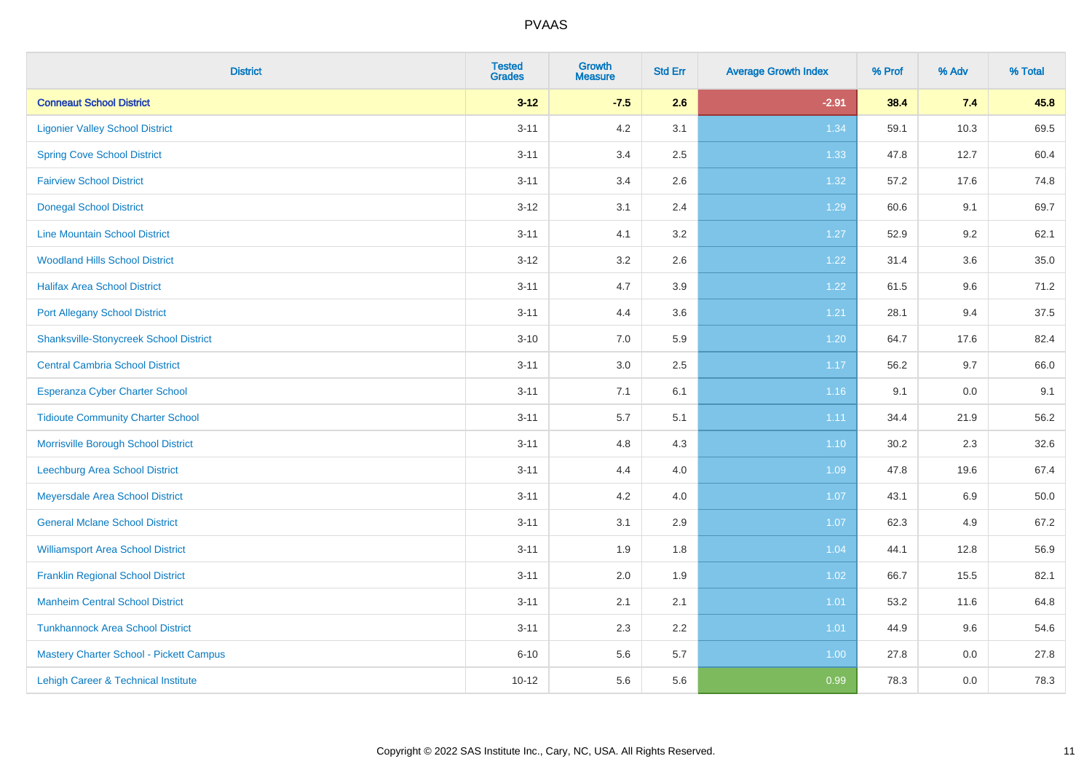| <b>District</b>                                | <b>Tested</b><br><b>Grades</b> | <b>Growth</b><br><b>Measure</b> | <b>Std Err</b> | <b>Average Growth Index</b> | % Prof | % Adv | % Total |
|------------------------------------------------|--------------------------------|---------------------------------|----------------|-----------------------------|--------|-------|---------|
| <b>Conneaut School District</b>                | $3 - 12$                       | $-7.5$                          | 2.6            | $-2.91$                     | 38.4   | 7.4   | 45.8    |
| <b>Ligonier Valley School District</b>         | $3 - 11$                       | 4.2                             | 3.1            | 1.34                        | 59.1   | 10.3  | 69.5    |
| <b>Spring Cove School District</b>             | $3 - 11$                       | 3.4                             | 2.5            | 1.33                        | 47.8   | 12.7  | 60.4    |
| <b>Fairview School District</b>                | $3 - 11$                       | 3.4                             | 2.6            | 1.32                        | 57.2   | 17.6  | 74.8    |
| <b>Donegal School District</b>                 | $3 - 12$                       | 3.1                             | 2.4            | 1.29                        | 60.6   | 9.1   | 69.7    |
| <b>Line Mountain School District</b>           | $3 - 11$                       | 4.1                             | 3.2            | 1.27                        | 52.9   | 9.2   | 62.1    |
| <b>Woodland Hills School District</b>          | $3 - 12$                       | 3.2                             | 2.6            | 1.22                        | 31.4   | 3.6   | 35.0    |
| <b>Halifax Area School District</b>            | $3 - 11$                       | 4.7                             | 3.9            | 1.22                        | 61.5   | 9.6   | 71.2    |
| <b>Port Allegany School District</b>           | $3 - 11$                       | 4.4                             | 3.6            | 1.21                        | 28.1   | 9.4   | 37.5    |
| <b>Shanksville-Stonycreek School District</b>  | $3 - 10$                       | 7.0                             | 5.9            | 1.20                        | 64.7   | 17.6  | 82.4    |
| <b>Central Cambria School District</b>         | $3 - 11$                       | 3.0                             | 2.5            | 1.17                        | 56.2   | 9.7   | 66.0    |
| <b>Esperanza Cyber Charter School</b>          | $3 - 11$                       | 7.1                             | 6.1            | $1.16$                      | 9.1    | 0.0   | 9.1     |
| <b>Tidioute Community Charter School</b>       | $3 - 11$                       | 5.7                             | 5.1            | 1.11                        | 34.4   | 21.9  | 56.2    |
| Morrisville Borough School District            | $3 - 11$                       | 4.8                             | 4.3            | 1.10                        | 30.2   | 2.3   | 32.6    |
| Leechburg Area School District                 | $3 - 11$                       | 4.4                             | 4.0            | 1.09                        | 47.8   | 19.6  | 67.4    |
| Meyersdale Area School District                | $3 - 11$                       | 4.2                             | 4.0            | 1.07                        | 43.1   | 6.9   | 50.0    |
| <b>General Mclane School District</b>          | $3 - 11$                       | 3.1                             | 2.9            | 1.07                        | 62.3   | 4.9   | 67.2    |
| <b>Williamsport Area School District</b>       | $3 - 11$                       | 1.9                             | 1.8            | 1.04                        | 44.1   | 12.8  | 56.9    |
| <b>Franklin Regional School District</b>       | $3 - 11$                       | 2.0                             | 1.9            | 1.02                        | 66.7   | 15.5  | 82.1    |
| <b>Manheim Central School District</b>         | $3 - 11$                       | 2.1                             | 2.1            | $1.01$                      | 53.2   | 11.6  | 64.8    |
| <b>Tunkhannock Area School District</b>        | $3 - 11$                       | 2.3                             | 2.2            | 1.01                        | 44.9   | 9.6   | 54.6    |
| <b>Mastery Charter School - Pickett Campus</b> | $6 - 10$                       | 5.6                             | 5.7            | 1.00                        | 27.8   | 0.0   | 27.8    |
| Lehigh Career & Technical Institute            | $10 - 12$                      | 5.6                             | 5.6            | 0.99                        | 78.3   | 0.0   | 78.3    |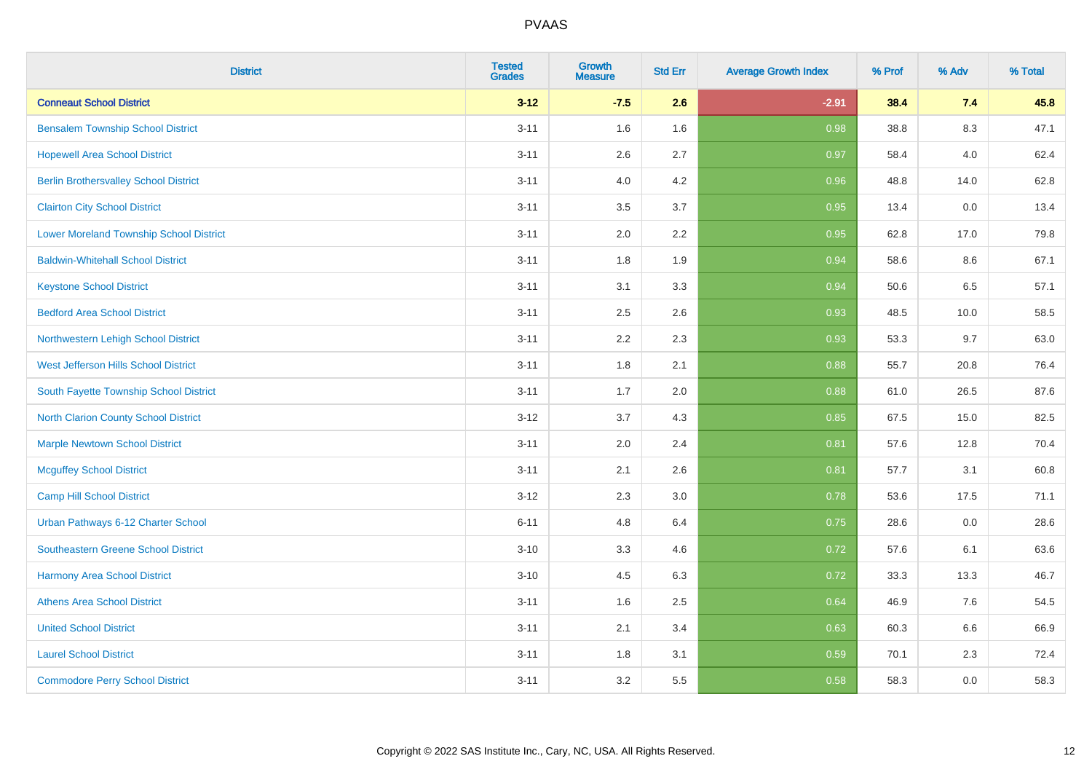| <b>District</b>                                | <b>Tested</b><br><b>Grades</b> | <b>Growth</b><br><b>Measure</b> | <b>Std Err</b> | <b>Average Growth Index</b> | % Prof | % Adv   | % Total |
|------------------------------------------------|--------------------------------|---------------------------------|----------------|-----------------------------|--------|---------|---------|
| <b>Conneaut School District</b>                | $3 - 12$                       | $-7.5$                          | 2.6            | $-2.91$                     | 38.4   | 7.4     | 45.8    |
| <b>Bensalem Township School District</b>       | $3 - 11$                       | 1.6                             | 1.6            | 0.98                        | 38.8   | $8.3\,$ | 47.1    |
| <b>Hopewell Area School District</b>           | $3 - 11$                       | 2.6                             | 2.7            | 0.97                        | 58.4   | 4.0     | 62.4    |
| <b>Berlin Brothersvalley School District</b>   | $3 - 11$                       | 4.0                             | 4.2            | 0.96                        | 48.8   | 14.0    | 62.8    |
| <b>Clairton City School District</b>           | $3 - 11$                       | 3.5                             | 3.7            | 0.95                        | 13.4   | 0.0     | 13.4    |
| <b>Lower Moreland Township School District</b> | $3 - 11$                       | 2.0                             | 2.2            | 0.95                        | 62.8   | 17.0    | 79.8    |
| <b>Baldwin-Whitehall School District</b>       | $3 - 11$                       | 1.8                             | 1.9            | 0.94                        | 58.6   | 8.6     | 67.1    |
| <b>Keystone School District</b>                | $3 - 11$                       | 3.1                             | 3.3            | 0.94                        | 50.6   | 6.5     | 57.1    |
| <b>Bedford Area School District</b>            | $3 - 11$                       | 2.5                             | 2.6            | 0.93                        | 48.5   | 10.0    | 58.5    |
| Northwestern Lehigh School District            | $3 - 11$                       | 2.2                             | 2.3            | 0.93                        | 53.3   | 9.7     | 63.0    |
| West Jefferson Hills School District           | $3 - 11$                       | 1.8                             | 2.1            | 0.88                        | 55.7   | 20.8    | 76.4    |
| South Fayette Township School District         | $3 - 11$                       | 1.7                             | 2.0            | 0.88                        | 61.0   | 26.5    | 87.6    |
| <b>North Clarion County School District</b>    | $3 - 12$                       | 3.7                             | 4.3            | 0.85                        | 67.5   | 15.0    | 82.5    |
| <b>Marple Newtown School District</b>          | $3 - 11$                       | 2.0                             | 2.4            | 0.81                        | 57.6   | 12.8    | 70.4    |
| <b>Mcguffey School District</b>                | $3 - 11$                       | 2.1                             | 2.6            | 0.81                        | 57.7   | 3.1     | 60.8    |
| <b>Camp Hill School District</b>               | $3 - 12$                       | 2.3                             | 3.0            | 0.78                        | 53.6   | 17.5    | 71.1    |
| Urban Pathways 6-12 Charter School             | $6 - 11$                       | 4.8                             | 6.4            | 0.75                        | 28.6   | 0.0     | 28.6    |
| Southeastern Greene School District            | $3 - 10$                       | 3.3                             | 4.6            | $\overline{0.72}$           | 57.6   | 6.1     | 63.6    |
| <b>Harmony Area School District</b>            | $3 - 10$                       | 4.5                             | 6.3            | 0.72                        | 33.3   | 13.3    | 46.7    |
| <b>Athens Area School District</b>             | $3 - 11$                       | 1.6                             | 2.5            | 0.64                        | 46.9   | 7.6     | 54.5    |
| <b>United School District</b>                  | $3 - 11$                       | 2.1                             | 3.4            | 0.63                        | 60.3   | 6.6     | 66.9    |
| <b>Laurel School District</b>                  | $3 - 11$                       | 1.8                             | 3.1            | 0.59                        | 70.1   | 2.3     | 72.4    |
| <b>Commodore Perry School District</b>         | $3 - 11$                       | 3.2                             | 5.5            | 0.58                        | 58.3   | 0.0     | 58.3    |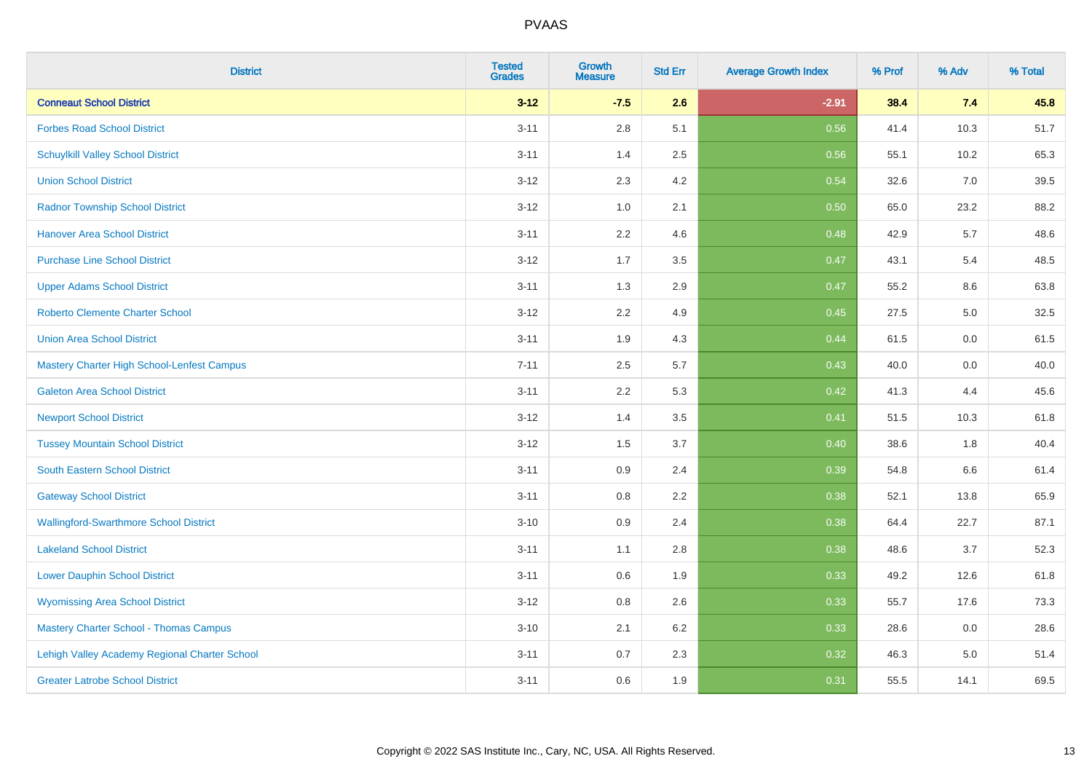| <b>District</b>                               | <b>Tested</b><br><b>Grades</b> | <b>Growth</b><br><b>Measure</b> | <b>Std Err</b> | <b>Average Growth Index</b> | % Prof | % Adv | % Total |
|-----------------------------------------------|--------------------------------|---------------------------------|----------------|-----------------------------|--------|-------|---------|
| <b>Conneaut School District</b>               | $3 - 12$                       | $-7.5$                          | 2.6            | $-2.91$                     | 38.4   | 7.4   | 45.8    |
| <b>Forbes Road School District</b>            | $3 - 11$                       | 2.8                             | 5.1            | 0.56                        | 41.4   | 10.3  | 51.7    |
| <b>Schuylkill Valley School District</b>      | $3 - 11$                       | 1.4                             | 2.5            | 0.56                        | 55.1   | 10.2  | 65.3    |
| <b>Union School District</b>                  | $3 - 12$                       | 2.3                             | 4.2            | 0.54                        | 32.6   | 7.0   | 39.5    |
| <b>Radnor Township School District</b>        | $3 - 12$                       | 1.0                             | 2.1            | 0.50                        | 65.0   | 23.2  | 88.2    |
| <b>Hanover Area School District</b>           | $3 - 11$                       | 2.2                             | 4.6            | 0.48                        | 42.9   | 5.7   | 48.6    |
| <b>Purchase Line School District</b>          | $3 - 12$                       | 1.7                             | 3.5            | 0.47                        | 43.1   | 5.4   | 48.5    |
| <b>Upper Adams School District</b>            | $3 - 11$                       | 1.3                             | 2.9            | 0.47                        | 55.2   | 8.6   | 63.8    |
| <b>Roberto Clemente Charter School</b>        | $3 - 12$                       | 2.2                             | 4.9            | 0.45                        | 27.5   | 5.0   | 32.5    |
| <b>Union Area School District</b>             | $3 - 11$                       | 1.9                             | 4.3            | 0.44                        | 61.5   | 0.0   | 61.5    |
| Mastery Charter High School-Lenfest Campus    | $7 - 11$                       | 2.5                             | 5.7            | $\boxed{0.43}$              | 40.0   | 0.0   | 40.0    |
| <b>Galeton Area School District</b>           | $3 - 11$                       | 2.2                             | 5.3            | 0.42                        | 41.3   | 4.4   | 45.6    |
| <b>Newport School District</b>                | $3 - 12$                       | 1.4                             | 3.5            | 0.41                        | 51.5   | 10.3  | 61.8    |
| <b>Tussey Mountain School District</b>        | $3 - 12$                       | 1.5                             | 3.7            | 0.40                        | 38.6   | 1.8   | 40.4    |
| <b>South Eastern School District</b>          | $3 - 11$                       | 0.9                             | 2.4            | 0.39                        | 54.8   | 6.6   | 61.4    |
| <b>Gateway School District</b>                | $3 - 11$                       | 0.8                             | 2.2            | 0.38                        | 52.1   | 13.8  | 65.9    |
| <b>Wallingford-Swarthmore School District</b> | $3 - 10$                       | 0.9                             | 2.4            | 0.38                        | 64.4   | 22.7  | 87.1    |
| <b>Lakeland School District</b>               | $3 - 11$                       | 1.1                             | 2.8            | 0.38                        | 48.6   | 3.7   | 52.3    |
| <b>Lower Dauphin School District</b>          | $3 - 11$                       | $0.6\,$                         | 1.9            | 0.33                        | 49.2   | 12.6  | 61.8    |
| <b>Wyomissing Area School District</b>        | $3 - 12$                       | $0.8\,$                         | 2.6            | 0.33                        | 55.7   | 17.6  | 73.3    |
| <b>Mastery Charter School - Thomas Campus</b> | $3 - 10$                       | 2.1                             | 6.2            | 0.33                        | 28.6   | 0.0   | 28.6    |
| Lehigh Valley Academy Regional Charter School | $3 - 11$                       | 0.7                             | 2.3            | 0.32                        | 46.3   | 5.0   | 51.4    |
| <b>Greater Latrobe School District</b>        | $3 - 11$                       | 0.6                             | 1.9            | 0.31                        | 55.5   | 14.1  | 69.5    |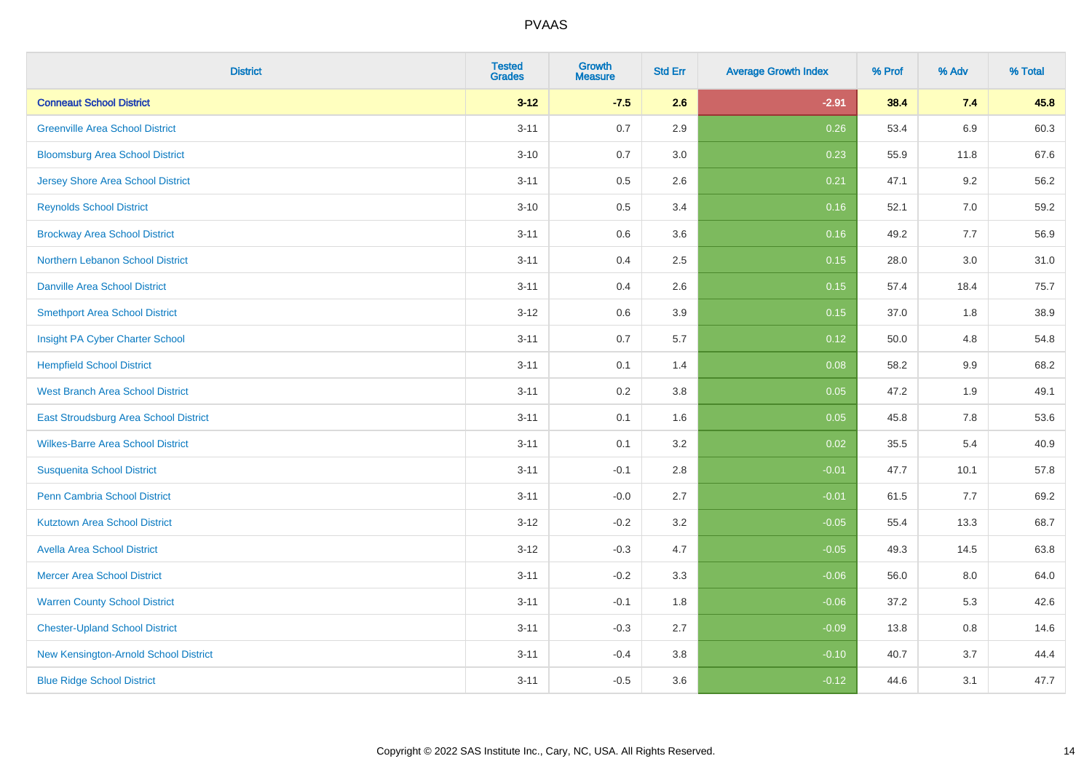| <b>District</b>                              | <b>Tested</b><br><b>Grades</b> | <b>Growth</b><br><b>Measure</b> | <b>Std Err</b> | <b>Average Growth Index</b> | % Prof | % Adv   | % Total |
|----------------------------------------------|--------------------------------|---------------------------------|----------------|-----------------------------|--------|---------|---------|
| <b>Conneaut School District</b>              | $3 - 12$                       | $-7.5$                          | 2.6            | $-2.91$                     | 38.4   | 7.4     | 45.8    |
| <b>Greenville Area School District</b>       | $3 - 11$                       | 0.7                             | 2.9            | 0.26                        | 53.4   | 6.9     | 60.3    |
| <b>Bloomsburg Area School District</b>       | $3 - 10$                       | 0.7                             | 3.0            | 0.23                        | 55.9   | 11.8    | 67.6    |
| <b>Jersey Shore Area School District</b>     | $3 - 11$                       | $0.5\,$                         | 2.6            | 0.21                        | 47.1   | 9.2     | 56.2    |
| <b>Reynolds School District</b>              | $3 - 10$                       | 0.5                             | 3.4            | 0.16                        | 52.1   | 7.0     | 59.2    |
| <b>Brockway Area School District</b>         | $3 - 11$                       | 0.6                             | 3.6            | 0.16                        | 49.2   | 7.7     | 56.9    |
| Northern Lebanon School District             | $3 - 11$                       | 0.4                             | 2.5            | 0.15                        | 28.0   | 3.0     | 31.0    |
| <b>Danville Area School District</b>         | $3 - 11$                       | 0.4                             | 2.6            | 0.15                        | 57.4   | 18.4    | 75.7    |
| <b>Smethport Area School District</b>        | $3 - 12$                       | 0.6                             | 3.9            | 0.15                        | 37.0   | 1.8     | 38.9    |
| Insight PA Cyber Charter School              | $3 - 11$                       | 0.7                             | 5.7            | 0.12                        | 50.0   | 4.8     | 54.8    |
| <b>Hempfield School District</b>             | $3 - 11$                       | 0.1                             | 1.4            | 0.08                        | 58.2   | 9.9     | 68.2    |
| <b>West Branch Area School District</b>      | $3 - 11$                       | 0.2                             | 3.8            | 0.05                        | 47.2   | 1.9     | 49.1    |
| <b>East Stroudsburg Area School District</b> | $3 - 11$                       | 0.1                             | 1.6            | 0.05                        | 45.8   | 7.8     | 53.6    |
| <b>Wilkes-Barre Area School District</b>     | $3 - 11$                       | 0.1                             | 3.2            | 0.02                        | 35.5   | 5.4     | 40.9    |
| <b>Susquenita School District</b>            | $3 - 11$                       | $-0.1$                          | 2.8            | $-0.01$                     | 47.7   | 10.1    | 57.8    |
| Penn Cambria School District                 | $3 - 11$                       | $-0.0$                          | 2.7            | $-0.01$                     | 61.5   | 7.7     | 69.2    |
| <b>Kutztown Area School District</b>         | $3 - 12$                       | $-0.2$                          | 3.2            | $-0.05$                     | 55.4   | 13.3    | 68.7    |
| <b>Avella Area School District</b>           | $3 - 12$                       | $-0.3$                          | 4.7            | $-0.05$                     | 49.3   | 14.5    | 63.8    |
| <b>Mercer Area School District</b>           | $3 - 11$                       | $-0.2$                          | 3.3            | $-0.06$                     | 56.0   | $8.0\,$ | 64.0    |
| <b>Warren County School District</b>         | $3 - 11$                       | $-0.1$                          | 1.8            | $-0.06$                     | 37.2   | 5.3     | 42.6    |
| <b>Chester-Upland School District</b>        | $3 - 11$                       | $-0.3$                          | 2.7            | $-0.09$                     | 13.8   | 0.8     | 14.6    |
| New Kensington-Arnold School District        | $3 - 11$                       | $-0.4$                          | 3.8            | $-0.10$                     | 40.7   | 3.7     | 44.4    |
| <b>Blue Ridge School District</b>            | $3 - 11$                       | $-0.5$                          | 3.6            | $-0.12$                     | 44.6   | 3.1     | 47.7    |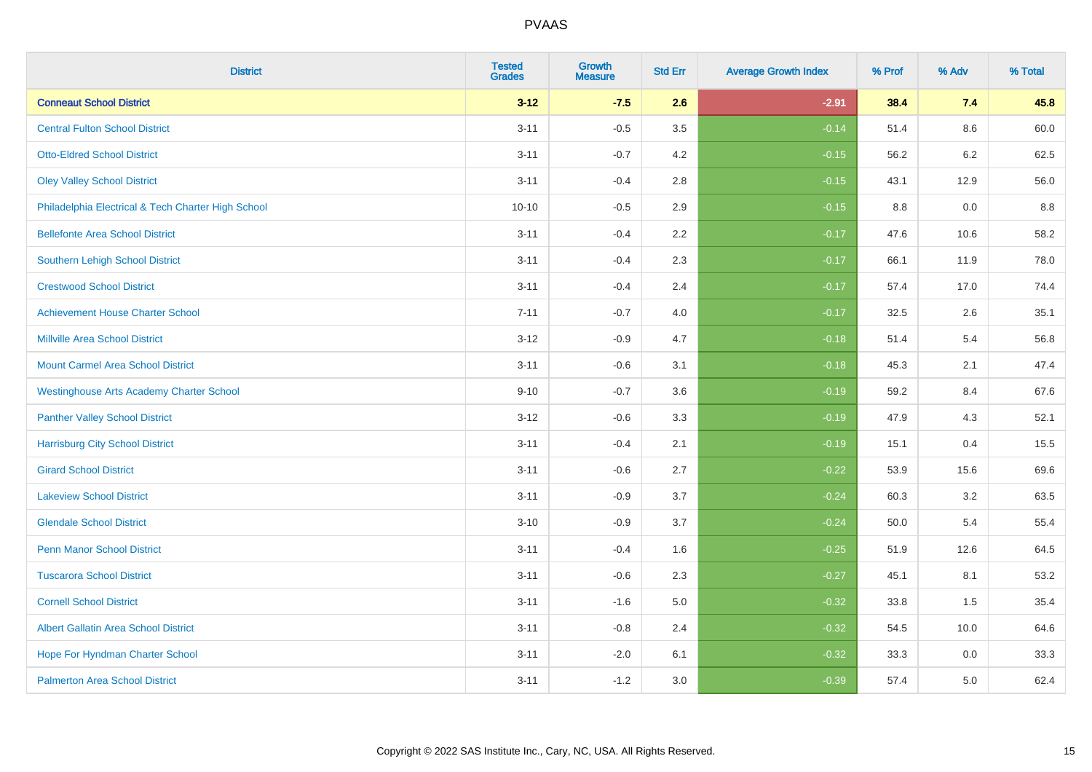| <b>District</b>                                    | <b>Tested</b><br><b>Grades</b> | <b>Growth</b><br><b>Measure</b> | <b>Std Err</b> | <b>Average Growth Index</b> | % Prof | % Adv | % Total |
|----------------------------------------------------|--------------------------------|---------------------------------|----------------|-----------------------------|--------|-------|---------|
| <b>Conneaut School District</b>                    | $3 - 12$                       | $-7.5$                          | 2.6            | $-2.91$                     | 38.4   | 7.4   | 45.8    |
| <b>Central Fulton School District</b>              | $3 - 11$                       | $-0.5$                          | 3.5            | $-0.14$                     | 51.4   | 8.6   | 60.0    |
| <b>Otto-Eldred School District</b>                 | $3 - 11$                       | $-0.7$                          | 4.2            | $-0.15$                     | 56.2   | 6.2   | 62.5    |
| <b>Oley Valley School District</b>                 | $3 - 11$                       | $-0.4$                          | 2.8            | $-0.15$                     | 43.1   | 12.9  | 56.0    |
| Philadelphia Electrical & Tech Charter High School | $10 - 10$                      | $-0.5$                          | 2.9            | $-0.15$                     | 8.8    | 0.0   | 8.8     |
| <b>Bellefonte Area School District</b>             | $3 - 11$                       | $-0.4$                          | 2.2            | $-0.17$                     | 47.6   | 10.6  | 58.2    |
| <b>Southern Lehigh School District</b>             | $3 - 11$                       | $-0.4$                          | 2.3            | $-0.17$                     | 66.1   | 11.9  | 78.0    |
| <b>Crestwood School District</b>                   | $3 - 11$                       | $-0.4$                          | 2.4            | $-0.17$                     | 57.4   | 17.0  | 74.4    |
| <b>Achievement House Charter School</b>            | $7 - 11$                       | $-0.7$                          | 4.0            | $-0.17$                     | 32.5   | 2.6   | 35.1    |
| <b>Millville Area School District</b>              | $3 - 12$                       | $-0.9$                          | 4.7            | $-0.18$                     | 51.4   | 5.4   | 56.8    |
| <b>Mount Carmel Area School District</b>           | $3 - 11$                       | $-0.6$                          | 3.1            | $-0.18$                     | 45.3   | 2.1   | 47.4    |
| <b>Westinghouse Arts Academy Charter School</b>    | $9 - 10$                       | $-0.7$                          | 3.6            | $-0.19$                     | 59.2   | 8.4   | 67.6    |
| <b>Panther Valley School District</b>              | $3 - 12$                       | $-0.6$                          | 3.3            | $-0.19$                     | 47.9   | 4.3   | 52.1    |
| <b>Harrisburg City School District</b>             | $3 - 11$                       | $-0.4$                          | 2.1            | $-0.19$                     | 15.1   | 0.4   | 15.5    |
| <b>Girard School District</b>                      | $3 - 11$                       | $-0.6$                          | 2.7            | $-0.22$                     | 53.9   | 15.6  | 69.6    |
| <b>Lakeview School District</b>                    | $3 - 11$                       | $-0.9$                          | 3.7            | $-0.24$                     | 60.3   | 3.2   | 63.5    |
| <b>Glendale School District</b>                    | $3 - 10$                       | $-0.9$                          | 3.7            | $-0.24$                     | 50.0   | 5.4   | 55.4    |
| <b>Penn Manor School District</b>                  | $3 - 11$                       | $-0.4$                          | 1.6            | $-0.25$                     | 51.9   | 12.6  | 64.5    |
| <b>Tuscarora School District</b>                   | $3 - 11$                       | $-0.6$                          | 2.3            | $-0.27$                     | 45.1   | 8.1   | 53.2    |
| <b>Cornell School District</b>                     | $3 - 11$                       | $-1.6$                          | 5.0            | $-0.32$                     | 33.8   | 1.5   | 35.4    |
| <b>Albert Gallatin Area School District</b>        | $3 - 11$                       | $-0.8$                          | 2.4            | $-0.32$                     | 54.5   | 10.0  | 64.6    |
| Hope For Hyndman Charter School                    | $3 - 11$                       | $-2.0$                          | 6.1            | $-0.32$                     | 33.3   | 0.0   | 33.3    |
| <b>Palmerton Area School District</b>              | $3 - 11$                       | $-1.2$                          | 3.0            | $-0.39$                     | 57.4   | 5.0   | 62.4    |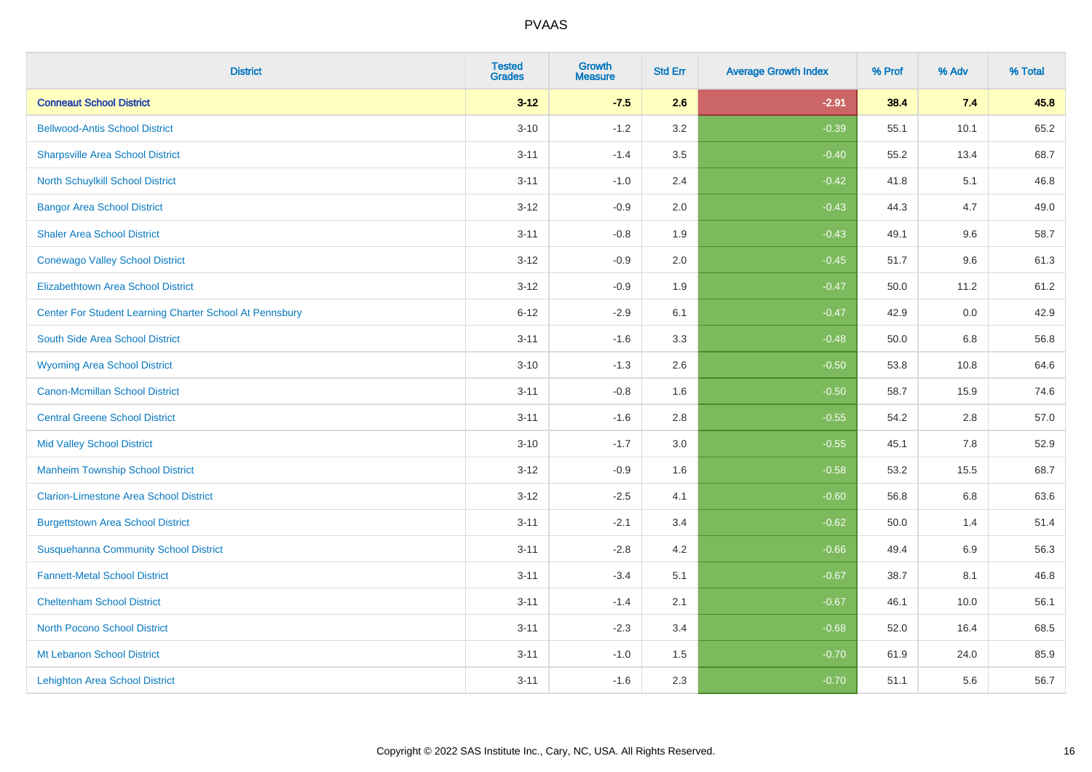| <b>District</b>                                         | <b>Tested</b><br><b>Grades</b> | <b>Growth</b><br><b>Measure</b> | <b>Std Err</b> | <b>Average Growth Index</b> | % Prof | % Adv   | % Total |
|---------------------------------------------------------|--------------------------------|---------------------------------|----------------|-----------------------------|--------|---------|---------|
| <b>Conneaut School District</b>                         | $3 - 12$                       | $-7.5$                          | 2.6            | $-2.91$                     | 38.4   | 7.4     | 45.8    |
| <b>Bellwood-Antis School District</b>                   | $3 - 10$                       | $-1.2$                          | 3.2            | $-0.39$                     | 55.1   | 10.1    | 65.2    |
| <b>Sharpsville Area School District</b>                 | $3 - 11$                       | $-1.4$                          | 3.5            | $-0.40$                     | 55.2   | 13.4    | 68.7    |
| North Schuylkill School District                        | $3 - 11$                       | $-1.0$                          | 2.4            | $-0.42$                     | 41.8   | 5.1     | 46.8    |
| <b>Bangor Area School District</b>                      | $3 - 12$                       | $-0.9$                          | 2.0            | $-0.43$                     | 44.3   | 4.7     | 49.0    |
| <b>Shaler Area School District</b>                      | $3 - 11$                       | $-0.8$                          | 1.9            | $-0.43$                     | 49.1   | 9.6     | 58.7    |
| <b>Conewago Valley School District</b>                  | $3 - 12$                       | $-0.9$                          | 2.0            | $-0.45$                     | 51.7   | 9.6     | 61.3    |
| <b>Elizabethtown Area School District</b>               | $3 - 12$                       | $-0.9$                          | 1.9            | $-0.47$                     | 50.0   | 11.2    | 61.2    |
| Center For Student Learning Charter School At Pennsbury | $6 - 12$                       | $-2.9$                          | 6.1            | $-0.47$                     | 42.9   | 0.0     | 42.9    |
| South Side Area School District                         | $3 - 11$                       | $-1.6$                          | 3.3            | $-0.48$                     | 50.0   | 6.8     | 56.8    |
| <b>Wyoming Area School District</b>                     | $3 - 10$                       | $-1.3$                          | 2.6            | $-0.50$                     | 53.8   | 10.8    | 64.6    |
| <b>Canon-Mcmillan School District</b>                   | $3 - 11$                       | $-0.8$                          | 1.6            | $-0.50$                     | 58.7   | 15.9    | 74.6    |
| <b>Central Greene School District</b>                   | $3 - 11$                       | $-1.6$                          | 2.8            | $-0.55$                     | 54.2   | $2.8\,$ | 57.0    |
| <b>Mid Valley School District</b>                       | $3 - 10$                       | $-1.7$                          | 3.0            | $-0.55$                     | 45.1   | 7.8     | 52.9    |
| <b>Manheim Township School District</b>                 | $3 - 12$                       | $-0.9$                          | 1.6            | $-0.58$                     | 53.2   | 15.5    | 68.7    |
| <b>Clarion-Limestone Area School District</b>           | $3 - 12$                       | $-2.5$                          | 4.1            | $-0.60$                     | 56.8   | $6.8\,$ | 63.6    |
| <b>Burgettstown Area School District</b>                | $3 - 11$                       | $-2.1$                          | 3.4            | $-0.62$                     | 50.0   | 1.4     | 51.4    |
| <b>Susquehanna Community School District</b>            | $3 - 11$                       | $-2.8$                          | 4.2            | $-0.66$                     | 49.4   | 6.9     | 56.3    |
| <b>Fannett-Metal School District</b>                    | $3 - 11$                       | $-3.4$                          | 5.1            | $-0.67$                     | 38.7   | 8.1     | 46.8    |
| <b>Cheltenham School District</b>                       | $3 - 11$                       | $-1.4$                          | 2.1            | $-0.67$                     | 46.1   | 10.0    | 56.1    |
| <b>North Pocono School District</b>                     | $3 - 11$                       | $-2.3$                          | 3.4            | $-0.68$                     | 52.0   | 16.4    | 68.5    |
| Mt Lebanon School District                              | $3 - 11$                       | $-1.0$                          | 1.5            | $-0.70$                     | 61.9   | 24.0    | 85.9    |
| <b>Lehighton Area School District</b>                   | $3 - 11$                       | $-1.6$                          | 2.3            | $-0.70$                     | 51.1   | 5.6     | 56.7    |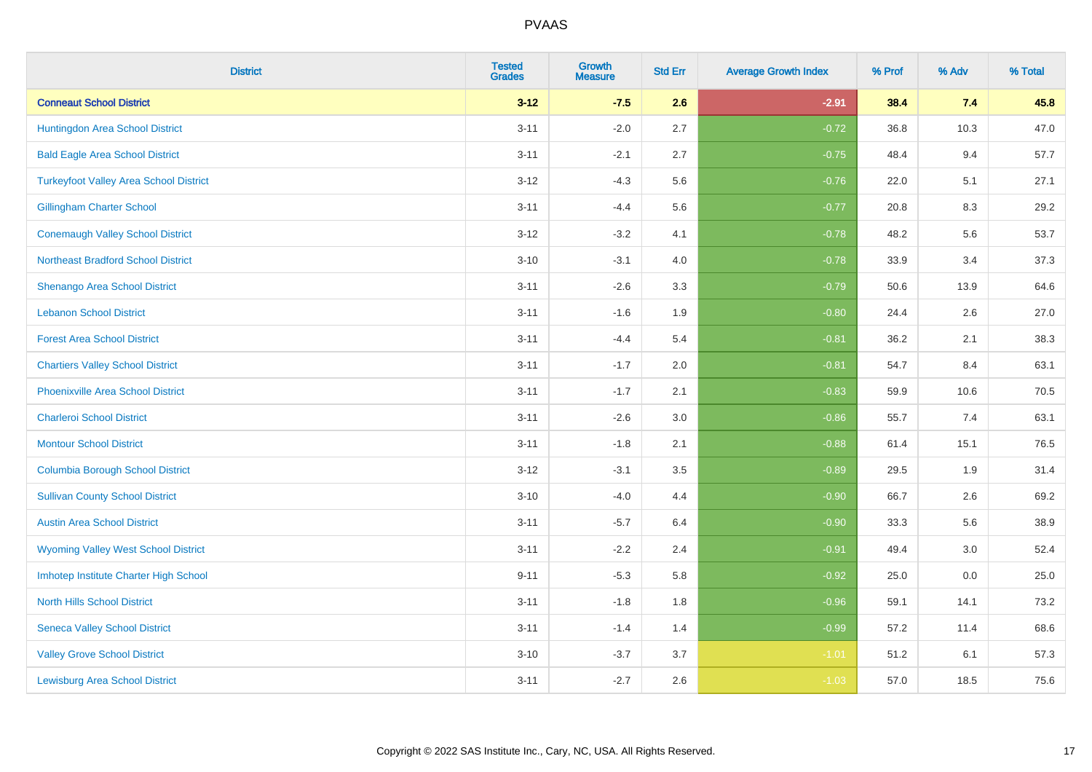| <b>District</b>                               | <b>Tested</b><br><b>Grades</b> | <b>Growth</b><br><b>Measure</b> | <b>Std Err</b> | <b>Average Growth Index</b> | % Prof | % Adv | % Total |
|-----------------------------------------------|--------------------------------|---------------------------------|----------------|-----------------------------|--------|-------|---------|
| <b>Conneaut School District</b>               | $3 - 12$                       | $-7.5$                          | 2.6            | $-2.91$                     | 38.4   | 7.4   | 45.8    |
| Huntingdon Area School District               | $3 - 11$                       | $-2.0$                          | 2.7            | $-0.72$                     | 36.8   | 10.3  | 47.0    |
| <b>Bald Eagle Area School District</b>        | $3 - 11$                       | $-2.1$                          | 2.7            | $-0.75$                     | 48.4   | 9.4   | 57.7    |
| <b>Turkeyfoot Valley Area School District</b> | $3 - 12$                       | $-4.3$                          | 5.6            | $-0.76$                     | 22.0   | 5.1   | 27.1    |
| <b>Gillingham Charter School</b>              | $3 - 11$                       | $-4.4$                          | 5.6            | $-0.77$                     | 20.8   | 8.3   | 29.2    |
| <b>Conemaugh Valley School District</b>       | $3 - 12$                       | $-3.2$                          | 4.1            | $-0.78$                     | 48.2   | 5.6   | 53.7    |
| <b>Northeast Bradford School District</b>     | $3 - 10$                       | $-3.1$                          | 4.0            | $-0.78$                     | 33.9   | 3.4   | 37.3    |
| Shenango Area School District                 | $3 - 11$                       | $-2.6$                          | 3.3            | $-0.79$                     | 50.6   | 13.9  | 64.6    |
| <b>Lebanon School District</b>                | $3 - 11$                       | $-1.6$                          | 1.9            | $-0.80$                     | 24.4   | 2.6   | 27.0    |
| <b>Forest Area School District</b>            | $3 - 11$                       | $-4.4$                          | 5.4            | $-0.81$                     | 36.2   | 2.1   | 38.3    |
| <b>Chartiers Valley School District</b>       | $3 - 11$                       | $-1.7$                          | 2.0            | $-0.81$                     | 54.7   | 8.4   | 63.1    |
| <b>Phoenixville Area School District</b>      | $3 - 11$                       | $-1.7$                          | 2.1            | $-0.83$                     | 59.9   | 10.6  | 70.5    |
| <b>Charleroi School District</b>              | $3 - 11$                       | $-2.6$                          | 3.0            | $-0.86$                     | 55.7   | 7.4   | 63.1    |
| <b>Montour School District</b>                | $3 - 11$                       | $-1.8$                          | 2.1            | $-0.88$                     | 61.4   | 15.1  | 76.5    |
| <b>Columbia Borough School District</b>       | $3 - 12$                       | $-3.1$                          | 3.5            | $-0.89$                     | 29.5   | 1.9   | 31.4    |
| <b>Sullivan County School District</b>        | $3 - 10$                       | $-4.0$                          | 4.4            | $-0.90$                     | 66.7   | 2.6   | 69.2    |
| <b>Austin Area School District</b>            | $3 - 11$                       | $-5.7$                          | 6.4            | $-0.90$                     | 33.3   | 5.6   | 38.9    |
| <b>Wyoming Valley West School District</b>    | $3 - 11$                       | $-2.2$                          | 2.4            | $-0.91$                     | 49.4   | 3.0   | 52.4    |
| Imhotep Institute Charter High School         | $9 - 11$                       | $-5.3$                          | 5.8            | $-0.92$                     | 25.0   | 0.0   | 25.0    |
| <b>North Hills School District</b>            | $3 - 11$                       | $-1.8$                          | 1.8            | $-0.96$                     | 59.1   | 14.1  | 73.2    |
| <b>Seneca Valley School District</b>          | $3 - 11$                       | $-1.4$                          | 1.4            | $-0.99$                     | 57.2   | 11.4  | 68.6    |
| <b>Valley Grove School District</b>           | $3 - 10$                       | $-3.7$                          | 3.7            | $-1.01$                     | 51.2   | 6.1   | 57.3    |
| <b>Lewisburg Area School District</b>         | $3 - 11$                       | $-2.7$                          | 2.6            | $-1.03$                     | 57.0   | 18.5  | 75.6    |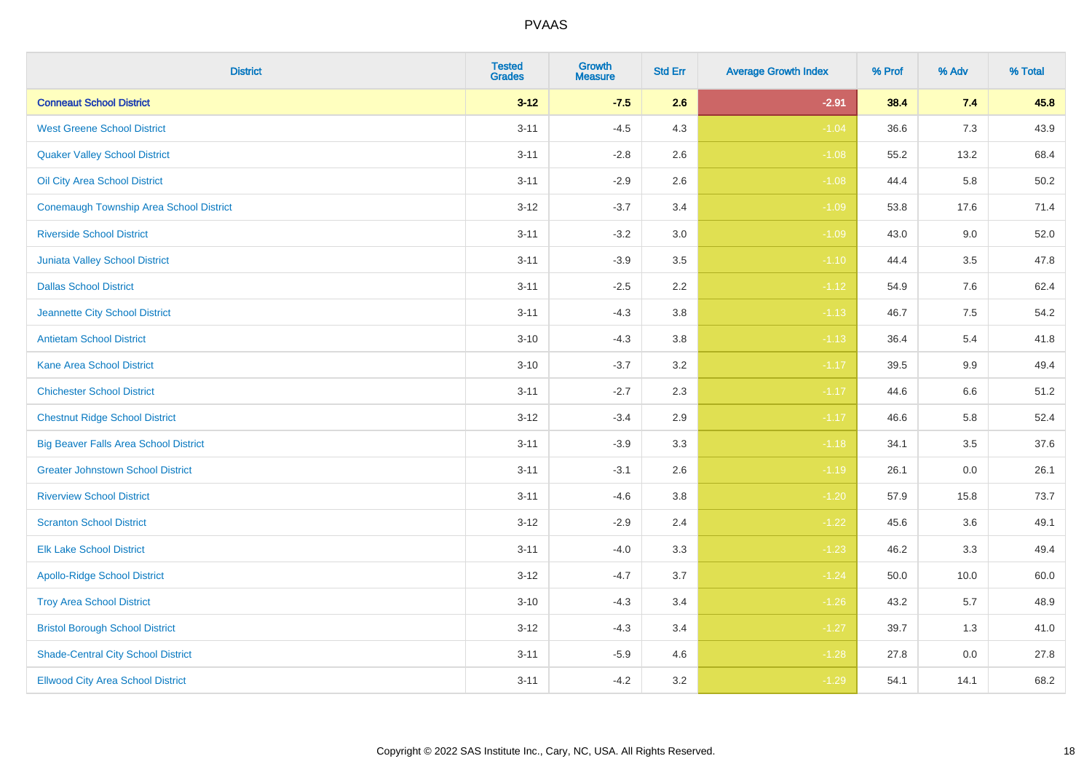| <b>District</b>                              | <b>Tested</b><br><b>Grades</b> | <b>Growth</b><br><b>Measure</b> | <b>Std Err</b> | <b>Average Growth Index</b> | % Prof | % Adv   | % Total |
|----------------------------------------------|--------------------------------|---------------------------------|----------------|-----------------------------|--------|---------|---------|
| <b>Conneaut School District</b>              | $3 - 12$                       | $-7.5$                          | 2.6            | $-2.91$                     | 38.4   | 7.4     | 45.8    |
| <b>West Greene School District</b>           | $3 - 11$                       | $-4.5$                          | 4.3            | $-1.04$                     | 36.6   | 7.3     | 43.9    |
| <b>Quaker Valley School District</b>         | $3 - 11$                       | $-2.8$                          | 2.6            | $-1.08$                     | 55.2   | 13.2    | 68.4    |
| Oil City Area School District                | $3 - 11$                       | $-2.9$                          | 2.6            | $-1.08$                     | 44.4   | 5.8     | 50.2    |
| Conemaugh Township Area School District      | $3 - 12$                       | $-3.7$                          | 3.4            | $-1.09$                     | 53.8   | 17.6    | 71.4    |
| <b>Riverside School District</b>             | $3 - 11$                       | $-3.2$                          | 3.0            | $-1.09$                     | 43.0   | 9.0     | 52.0    |
| <b>Juniata Valley School District</b>        | $3 - 11$                       | $-3.9$                          | 3.5            | $-1.10$                     | 44.4   | 3.5     | 47.8    |
| <b>Dallas School District</b>                | $3 - 11$                       | $-2.5$                          | 2.2            | $-1.12$                     | 54.9   | 7.6     | 62.4    |
| Jeannette City School District               | $3 - 11$                       | $-4.3$                          | 3.8            | $-1.13$                     | 46.7   | 7.5     | 54.2    |
| <b>Antietam School District</b>              | $3 - 10$                       | $-4.3$                          | 3.8            | $-1.13$                     | 36.4   | 5.4     | 41.8    |
| <b>Kane Area School District</b>             | $3 - 10$                       | $-3.7$                          | 3.2            | $-1.17$                     | 39.5   | $9.9\,$ | 49.4    |
| <b>Chichester School District</b>            | $3 - 11$                       | $-2.7$                          | 2.3            | $-1.17$                     | 44.6   | $6.6\,$ | 51.2    |
| <b>Chestnut Ridge School District</b>        | $3 - 12$                       | $-3.4$                          | 2.9            | $-1.17$                     | 46.6   | 5.8     | 52.4    |
| <b>Big Beaver Falls Area School District</b> | $3 - 11$                       | $-3.9$                          | 3.3            | $-1.18$                     | 34.1   | 3.5     | 37.6    |
| <b>Greater Johnstown School District</b>     | $3 - 11$                       | $-3.1$                          | 2.6            | $-1.19$                     | 26.1   | 0.0     | 26.1    |
| <b>Riverview School District</b>             | $3 - 11$                       | $-4.6$                          | 3.8            | $-1.20$                     | 57.9   | 15.8    | 73.7    |
| <b>Scranton School District</b>              | $3 - 12$                       | $-2.9$                          | 2.4            | $-1.22$                     | 45.6   | 3.6     | 49.1    |
| <b>Elk Lake School District</b>              | $3 - 11$                       | $-4.0$                          | 3.3            | $-1.23$                     | 46.2   | 3.3     | 49.4    |
| <b>Apollo-Ridge School District</b>          | $3 - 12$                       | $-4.7$                          | 3.7            | $-1.24$                     | 50.0   | 10.0    | 60.0    |
| <b>Troy Area School District</b>             | $3 - 10$                       | $-4.3$                          | 3.4            | $-1.26$                     | 43.2   | 5.7     | 48.9    |
| <b>Bristol Borough School District</b>       | $3 - 12$                       | $-4.3$                          | 3.4            | $-1.27$                     | 39.7   | 1.3     | 41.0    |
| <b>Shade-Central City School District</b>    | $3 - 11$                       | $-5.9$                          | 4.6            | $-1.28$                     | 27.8   | 0.0     | 27.8    |
| <b>Ellwood City Area School District</b>     | $3 - 11$                       | $-4.2$                          | 3.2            | $-1.29$                     | 54.1   | 14.1    | 68.2    |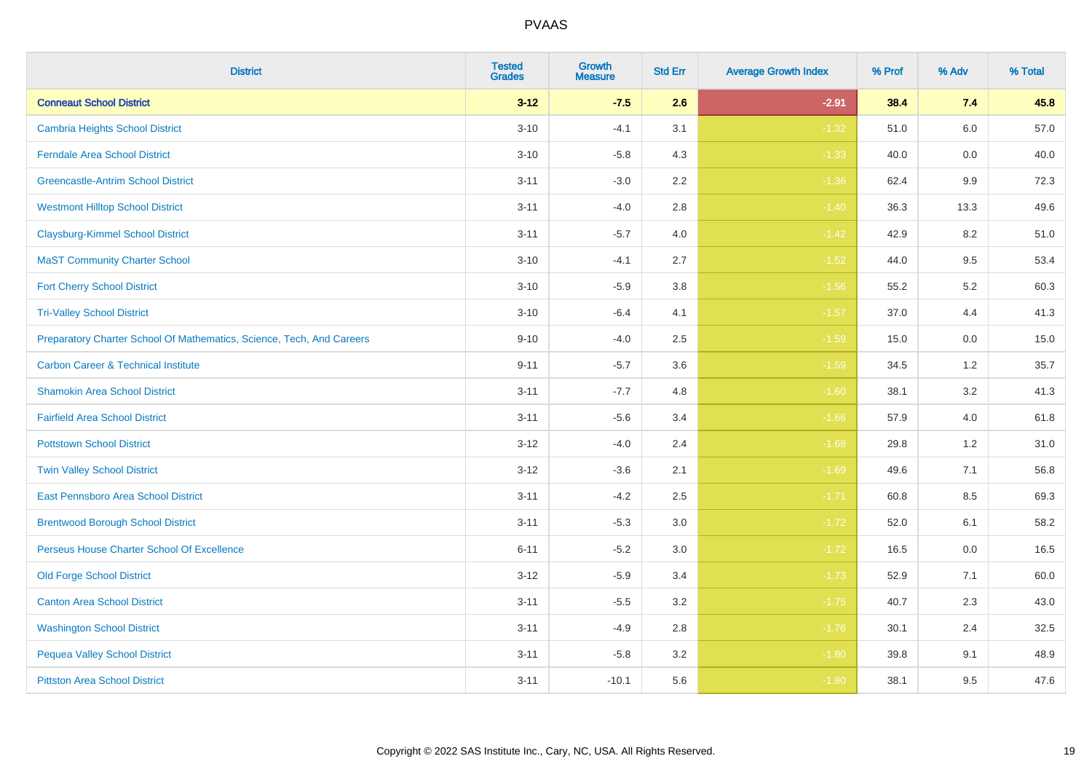| <b>District</b>                                                       | <b>Tested</b><br><b>Grades</b> | <b>Growth</b><br><b>Measure</b> | <b>Std Err</b> | <b>Average Growth Index</b> | % Prof | % Adv   | % Total |
|-----------------------------------------------------------------------|--------------------------------|---------------------------------|----------------|-----------------------------|--------|---------|---------|
| <b>Conneaut School District</b>                                       | $3 - 12$                       | $-7.5$                          | 2.6            | $-2.91$                     | 38.4   | 7.4     | 45.8    |
| <b>Cambria Heights School District</b>                                | $3 - 10$                       | $-4.1$                          | 3.1            | $-1.32$                     | 51.0   | 6.0     | 57.0    |
| <b>Ferndale Area School District</b>                                  | $3 - 10$                       | $-5.8$                          | 4.3            | $-1.33$                     | 40.0   | 0.0     | 40.0    |
| <b>Greencastle-Antrim School District</b>                             | $3 - 11$                       | $-3.0$                          | $2.2\,$        | $-1.36$                     | 62.4   | $9.9\,$ | 72.3    |
| <b>Westmont Hilltop School District</b>                               | $3 - 11$                       | $-4.0$                          | 2.8            | $-1.40$                     | 36.3   | 13.3    | 49.6    |
| <b>Claysburg-Kimmel School District</b>                               | $3 - 11$                       | $-5.7$                          | 4.0            | $-1.42$                     | 42.9   | 8.2     | 51.0    |
| <b>MaST Community Charter School</b>                                  | $3 - 10$                       | $-4.1$                          | 2.7            | $-1.52$                     | 44.0   | 9.5     | 53.4    |
| <b>Fort Cherry School District</b>                                    | $3 - 10$                       | $-5.9$                          | 3.8            | $-1.56$                     | 55.2   | 5.2     | 60.3    |
| <b>Tri-Valley School District</b>                                     | $3 - 10$                       | $-6.4$                          | 4.1            | $-1.57$                     | 37.0   | 4.4     | 41.3    |
| Preparatory Charter School Of Mathematics, Science, Tech, And Careers | $9 - 10$                       | $-4.0$                          | $2.5\,$        | $-1.59$                     | 15.0   | 0.0     | 15.0    |
| <b>Carbon Career &amp; Technical Institute</b>                        | $9 - 11$                       | $-5.7$                          | 3.6            | $-1.59$                     | 34.5   | 1.2     | 35.7    |
| <b>Shamokin Area School District</b>                                  | $3 - 11$                       | $-7.7$                          | 4.8            | $-1.60$                     | 38.1   | 3.2     | 41.3    |
| <b>Fairfield Area School District</b>                                 | $3 - 11$                       | $-5.6$                          | 3.4            | $-1.66$                     | 57.9   | 4.0     | 61.8    |
| <b>Pottstown School District</b>                                      | $3 - 12$                       | $-4.0$                          | 2.4            | $-1.68$                     | 29.8   | 1.2     | 31.0    |
| <b>Twin Valley School District</b>                                    | $3 - 12$                       | $-3.6$                          | 2.1            | $-1.69$                     | 49.6   | 7.1     | 56.8    |
| <b>East Pennsboro Area School District</b>                            | $3 - 11$                       | $-4.2$                          | 2.5            | $-1.71$                     | 60.8   | 8.5     | 69.3    |
| <b>Brentwood Borough School District</b>                              | $3 - 11$                       | $-5.3$                          | 3.0            | $-1.72$                     | 52.0   | 6.1     | 58.2    |
| Perseus House Charter School Of Excellence                            | $6 - 11$                       | $-5.2$                          | 3.0            | $-1.72$                     | 16.5   | 0.0     | 16.5    |
| <b>Old Forge School District</b>                                      | $3 - 12$                       | $-5.9$                          | 3.4            | $-1.73$                     | 52.9   | 7.1     | 60.0    |
| <b>Canton Area School District</b>                                    | $3 - 11$                       | $-5.5$                          | 3.2            | $-1.75$                     | 40.7   | 2.3     | 43.0    |
| <b>Washington School District</b>                                     | $3 - 11$                       | $-4.9$                          | 2.8            | $-1.76$                     | 30.1   | 2.4     | 32.5    |
| <b>Pequea Valley School District</b>                                  | $3 - 11$                       | $-5.8$                          | 3.2            | $-1.80$                     | 39.8   | 9.1     | 48.9    |
| <b>Pittston Area School District</b>                                  | $3 - 11$                       | $-10.1$                         | 5.6            | $-1.80$                     | 38.1   | 9.5     | 47.6    |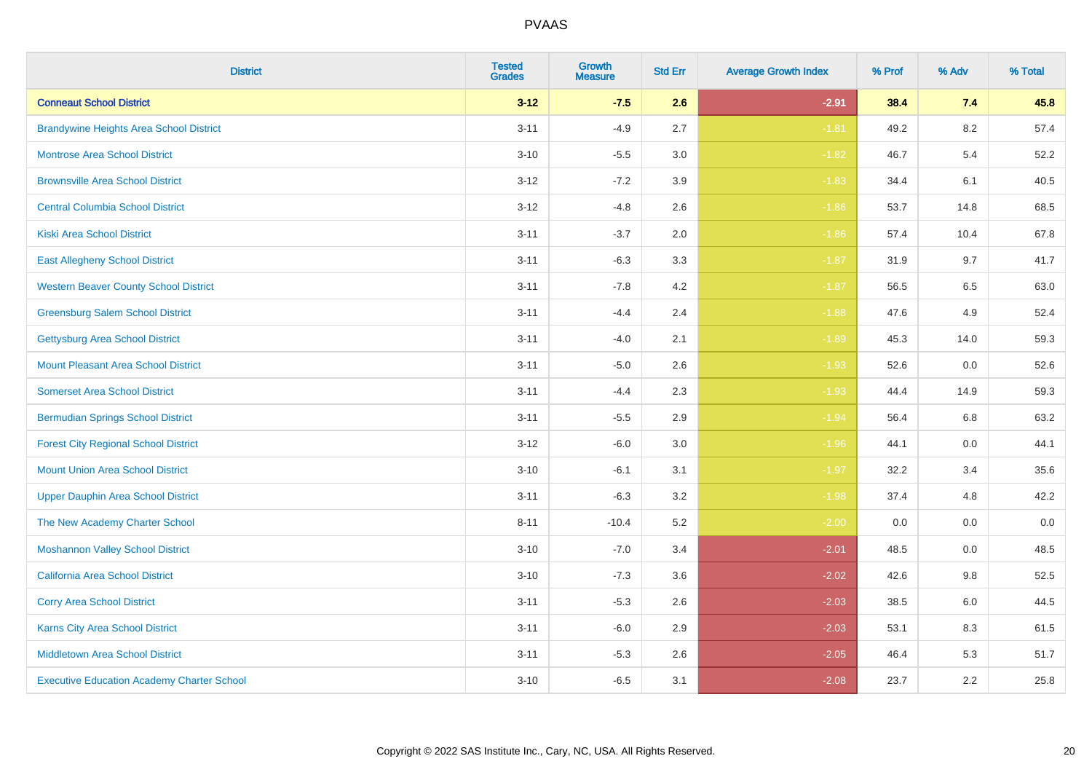| <b>District</b>                                   | <b>Tested</b><br><b>Grades</b> | <b>Growth</b><br><b>Measure</b> | <b>Std Err</b> | <b>Average Growth Index</b> | % Prof | % Adv | % Total |
|---------------------------------------------------|--------------------------------|---------------------------------|----------------|-----------------------------|--------|-------|---------|
| <b>Conneaut School District</b>                   | $3 - 12$                       | $-7.5$                          | 2.6            | $-2.91$                     | 38.4   | 7.4   | 45.8    |
| <b>Brandywine Heights Area School District</b>    | $3 - 11$                       | $-4.9$                          | 2.7            | $-1.81$                     | 49.2   | 8.2   | 57.4    |
| <b>Montrose Area School District</b>              | $3 - 10$                       | $-5.5$                          | 3.0            | $-1.82$                     | 46.7   | 5.4   | 52.2    |
| <b>Brownsville Area School District</b>           | $3 - 12$                       | $-7.2$                          | 3.9            | $-1.83$                     | 34.4   | 6.1   | 40.5    |
| <b>Central Columbia School District</b>           | $3 - 12$                       | $-4.8$                          | 2.6            | $-1.86$                     | 53.7   | 14.8  | 68.5    |
| <b>Kiski Area School District</b>                 | $3 - 11$                       | $-3.7$                          | 2.0            | $-1.86$                     | 57.4   | 10.4  | 67.8    |
| <b>East Allegheny School District</b>             | $3 - 11$                       | $-6.3$                          | 3.3            | $-1.87$                     | 31.9   | 9.7   | 41.7    |
| <b>Western Beaver County School District</b>      | $3 - 11$                       | $-7.8$                          | 4.2            | $-1.87$                     | 56.5   | 6.5   | 63.0    |
| <b>Greensburg Salem School District</b>           | $3 - 11$                       | $-4.4$                          | 2.4            | $-1.88$                     | 47.6   | 4.9   | 52.4    |
| <b>Gettysburg Area School District</b>            | $3 - 11$                       | $-4.0$                          | 2.1            | $-1.89$                     | 45.3   | 14.0  | 59.3    |
| <b>Mount Pleasant Area School District</b>        | $3 - 11$                       | $-5.0$                          | 2.6            | $-1.93$                     | 52.6   | 0.0   | 52.6    |
| <b>Somerset Area School District</b>              | $3 - 11$                       | $-4.4$                          | 2.3            | $-1.93$                     | 44.4   | 14.9  | 59.3    |
| <b>Bermudian Springs School District</b>          | $3 - 11$                       | $-5.5$                          | 2.9            | $-1.94$                     | 56.4   | 6.8   | 63.2    |
| <b>Forest City Regional School District</b>       | $3 - 12$                       | $-6.0$                          | 3.0            | $-1.96$                     | 44.1   | 0.0   | 44.1    |
| <b>Mount Union Area School District</b>           | $3 - 10$                       | $-6.1$                          | 3.1            | $-1.97$                     | 32.2   | 3.4   | 35.6    |
| <b>Upper Dauphin Area School District</b>         | $3 - 11$                       | $-6.3$                          | 3.2            | $-1.98$                     | 37.4   | 4.8   | 42.2    |
| The New Academy Charter School                    | $8 - 11$                       | $-10.4$                         | 5.2            | $-2.00$                     | 0.0    | 0.0   | $0.0\,$ |
| <b>Moshannon Valley School District</b>           | $3 - 10$                       | $-7.0$                          | 3.4            | $-2.01$                     | 48.5   | 0.0   | 48.5    |
| <b>California Area School District</b>            | $3 - 10$                       | $-7.3$                          | 3.6            | $-2.02$                     | 42.6   | 9.8   | 52.5    |
| <b>Corry Area School District</b>                 | $3 - 11$                       | $-5.3$                          | 2.6            | $-2.03$                     | 38.5   | 6.0   | 44.5    |
| <b>Karns City Area School District</b>            | $3 - 11$                       | $-6.0$                          | 2.9            | $-2.03$                     | 53.1   | 8.3   | 61.5    |
| <b>Middletown Area School District</b>            | $3 - 11$                       | $-5.3$                          | 2.6            | $-2.05$                     | 46.4   | 5.3   | 51.7    |
| <b>Executive Education Academy Charter School</b> | $3 - 10$                       | $-6.5$                          | 3.1            | $-2.08$                     | 23.7   | 2.2   | 25.8    |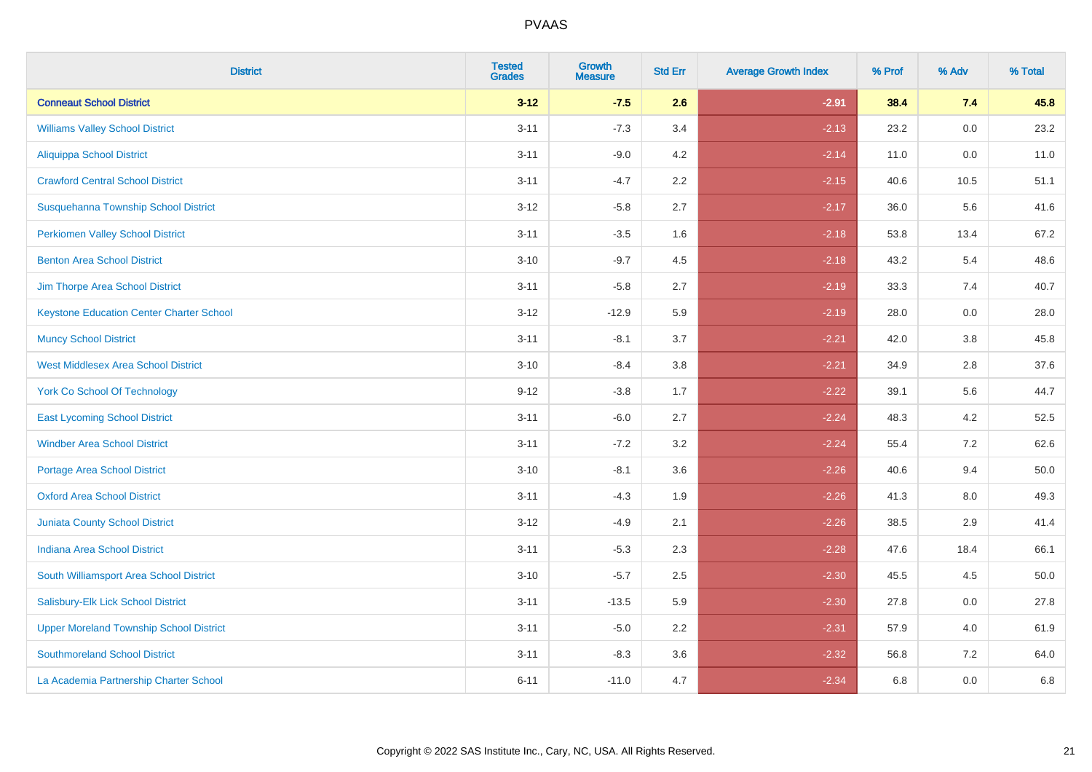| <b>District</b>                                 | <b>Tested</b><br><b>Grades</b> | <b>Growth</b><br><b>Measure</b> | <b>Std Err</b> | <b>Average Growth Index</b> | % Prof | % Adv | % Total |
|-------------------------------------------------|--------------------------------|---------------------------------|----------------|-----------------------------|--------|-------|---------|
| <b>Conneaut School District</b>                 | $3 - 12$                       | $-7.5$                          | 2.6            | $-2.91$                     | 38.4   | 7.4   | 45.8    |
| <b>Williams Valley School District</b>          | $3 - 11$                       | $-7.3$                          | 3.4            | $-2.13$                     | 23.2   | 0.0   | 23.2    |
| Aliquippa School District                       | $3 - 11$                       | $-9.0$                          | 4.2            | $-2.14$                     | 11.0   | 0.0   | 11.0    |
| <b>Crawford Central School District</b>         | $3 - 11$                       | $-4.7$                          | 2.2            | $-2.15$                     | 40.6   | 10.5  | 51.1    |
| Susquehanna Township School District            | $3 - 12$                       | $-5.8$                          | 2.7            | $-2.17$                     | 36.0   | 5.6   | 41.6    |
| <b>Perkiomen Valley School District</b>         | $3 - 11$                       | $-3.5$                          | 1.6            | $-2.18$                     | 53.8   | 13.4  | 67.2    |
| <b>Benton Area School District</b>              | $3 - 10$                       | $-9.7$                          | 4.5            | $-2.18$                     | 43.2   | 5.4   | 48.6    |
| Jim Thorpe Area School District                 | $3 - 11$                       | $-5.8$                          | 2.7            | $-2.19$                     | 33.3   | 7.4   | 40.7    |
| <b>Keystone Education Center Charter School</b> | $3 - 12$                       | $-12.9$                         | 5.9            | $-2.19$                     | 28.0   | 0.0   | 28.0    |
| <b>Muncy School District</b>                    | $3 - 11$                       | $-8.1$                          | 3.7            | $-2.21$                     | 42.0   | 3.8   | 45.8    |
| <b>West Middlesex Area School District</b>      | $3 - 10$                       | $-8.4$                          | 3.8            | $-2.21$                     | 34.9   | 2.8   | 37.6    |
| <b>York Co School Of Technology</b>             | $9 - 12$                       | $-3.8$                          | 1.7            | $-2.22$                     | 39.1   | 5.6   | 44.7    |
| <b>East Lycoming School District</b>            | $3 - 11$                       | $-6.0$                          | 2.7            | $-2.24$                     | 48.3   | 4.2   | 52.5    |
| <b>Windber Area School District</b>             | $3 - 11$                       | $-7.2$                          | 3.2            | $-2.24$                     | 55.4   | 7.2   | 62.6    |
| <b>Portage Area School District</b>             | $3 - 10$                       | $-8.1$                          | 3.6            | $-2.26$                     | 40.6   | 9.4   | 50.0    |
| <b>Oxford Area School District</b>              | $3 - 11$                       | $-4.3$                          | 1.9            | $-2.26$                     | 41.3   | 8.0   | 49.3    |
| <b>Juniata County School District</b>           | $3 - 12$                       | $-4.9$                          | 2.1            | $-2.26$                     | 38.5   | 2.9   | 41.4    |
| <b>Indiana Area School District</b>             | $3 - 11$                       | $-5.3$                          | 2.3            | $-2.28$                     | 47.6   | 18.4  | 66.1    |
| South Williamsport Area School District         | $3 - 10$                       | $-5.7$                          | 2.5            | $-2.30$                     | 45.5   | 4.5   | 50.0    |
| Salisbury-Elk Lick School District              | $3 - 11$                       | $-13.5$                         | 5.9            | $-2.30$                     | 27.8   | 0.0   | 27.8    |
| <b>Upper Moreland Township School District</b>  | $3 - 11$                       | $-5.0$                          | 2.2            | $-2.31$                     | 57.9   | 4.0   | 61.9    |
| <b>Southmoreland School District</b>            | $3 - 11$                       | $-8.3$                          | 3.6            | $-2.32$                     | 56.8   | 7.2   | 64.0    |
| La Academia Partnership Charter School          | $6 - 11$                       | $-11.0$                         | 4.7            | $-2.34$                     | 6.8    | 0.0   | 6.8     |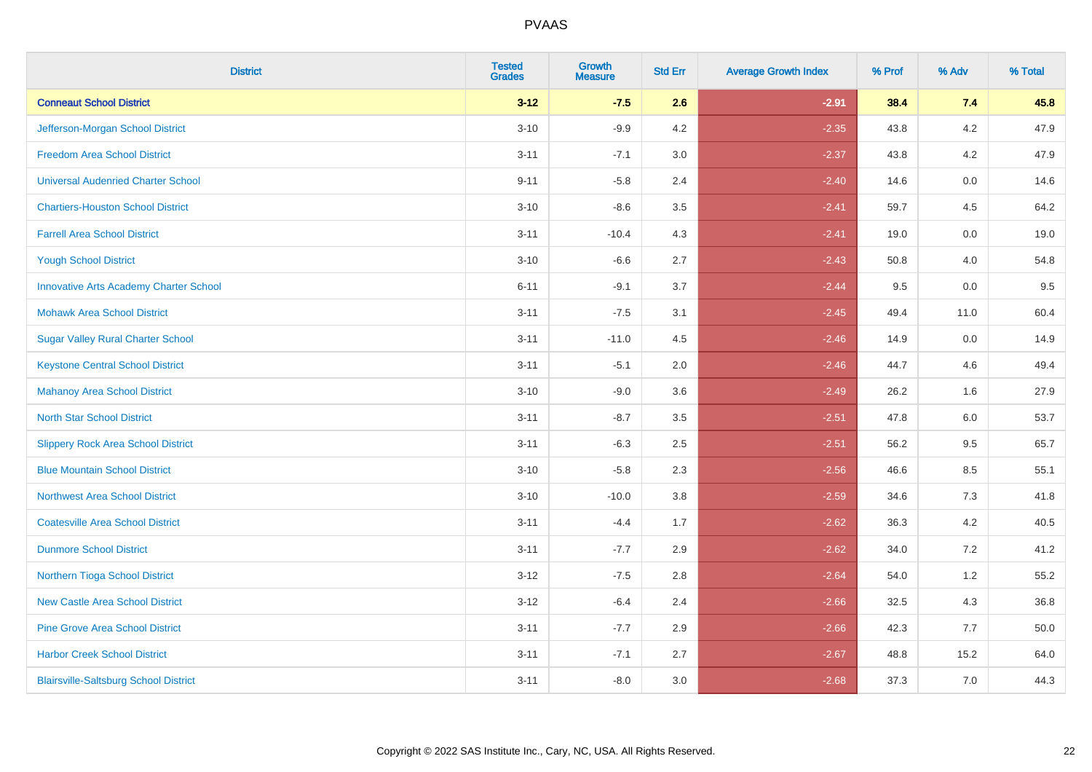| <b>District</b>                               | <b>Tested</b><br><b>Grades</b> | Growth<br><b>Measure</b> | <b>Std Err</b> | <b>Average Growth Index</b> | % Prof | % Adv | % Total |
|-----------------------------------------------|--------------------------------|--------------------------|----------------|-----------------------------|--------|-------|---------|
| <b>Conneaut School District</b>               | $3 - 12$                       | $-7.5$                   | 2.6            | $-2.91$                     | 38.4   | 7.4   | 45.8    |
| Jefferson-Morgan School District              | $3 - 10$                       | $-9.9$                   | 4.2            | $-2.35$                     | 43.8   | 4.2   | 47.9    |
| <b>Freedom Area School District</b>           | $3 - 11$                       | $-7.1$                   | 3.0            | $-2.37$                     | 43.8   | 4.2   | 47.9    |
| <b>Universal Audenried Charter School</b>     | $9 - 11$                       | $-5.8$                   | 2.4            | $-2.40$                     | 14.6   | 0.0   | 14.6    |
| <b>Chartiers-Houston School District</b>      | $3 - 10$                       | $-8.6$                   | 3.5            | $-2.41$                     | 59.7   | 4.5   | 64.2    |
| <b>Farrell Area School District</b>           | $3 - 11$                       | $-10.4$                  | 4.3            | $-2.41$                     | 19.0   | 0.0   | 19.0    |
| <b>Yough School District</b>                  | $3 - 10$                       | $-6.6$                   | 2.7            | $-2.43$                     | 50.8   | 4.0   | 54.8    |
| <b>Innovative Arts Academy Charter School</b> | $6 - 11$                       | $-9.1$                   | 3.7            | $-2.44$                     | 9.5    | 0.0   | 9.5     |
| <b>Mohawk Area School District</b>            | $3 - 11$                       | $-7.5$                   | 3.1            | $-2.45$                     | 49.4   | 11.0  | 60.4    |
| <b>Sugar Valley Rural Charter School</b>      | $3 - 11$                       | $-11.0$                  | 4.5            | $-2.46$                     | 14.9   | 0.0   | 14.9    |
| <b>Keystone Central School District</b>       | $3 - 11$                       | $-5.1$                   | 2.0            | $-2.46$                     | 44.7   | 4.6   | 49.4    |
| <b>Mahanoy Area School District</b>           | $3 - 10$                       | $-9.0$                   | 3.6            | $-2.49$                     | 26.2   | 1.6   | 27.9    |
| <b>North Star School District</b>             | $3 - 11$                       | $-8.7$                   | 3.5            | $-2.51$                     | 47.8   | 6.0   | 53.7    |
| <b>Slippery Rock Area School District</b>     | $3 - 11$                       | $-6.3$                   | 2.5            | $-2.51$                     | 56.2   | 9.5   | 65.7    |
| <b>Blue Mountain School District</b>          | $3 - 10$                       | $-5.8$                   | 2.3            | $-2.56$                     | 46.6   | 8.5   | 55.1    |
| <b>Northwest Area School District</b>         | $3 - 10$                       | $-10.0$                  | 3.8            | $-2.59$                     | 34.6   | 7.3   | 41.8    |
| <b>Coatesville Area School District</b>       | $3 - 11$                       | $-4.4$                   | 1.7            | $-2.62$                     | 36.3   | 4.2   | 40.5    |
| <b>Dunmore School District</b>                | $3 - 11$                       | $-7.7$                   | 2.9            | $-2.62$                     | 34.0   | 7.2   | 41.2    |
| Northern Tioga School District                | $3 - 12$                       | $-7.5$                   | 2.8            | $-2.64$                     | 54.0   | 1.2   | 55.2    |
| <b>New Castle Area School District</b>        | $3 - 12$                       | $-6.4$                   | 2.4            | $-2.66$                     | 32.5   | 4.3   | 36.8    |
| <b>Pine Grove Area School District</b>        | $3 - 11$                       | $-7.7$                   | 2.9            | $-2.66$                     | 42.3   | 7.7   | 50.0    |
| <b>Harbor Creek School District</b>           | $3 - 11$                       | $-7.1$                   | 2.7            | $-2.67$                     | 48.8   | 15.2  | 64.0    |
| <b>Blairsville-Saltsburg School District</b>  | $3 - 11$                       | $-8.0$                   | 3.0            | $-2.68$                     | 37.3   | 7.0   | 44.3    |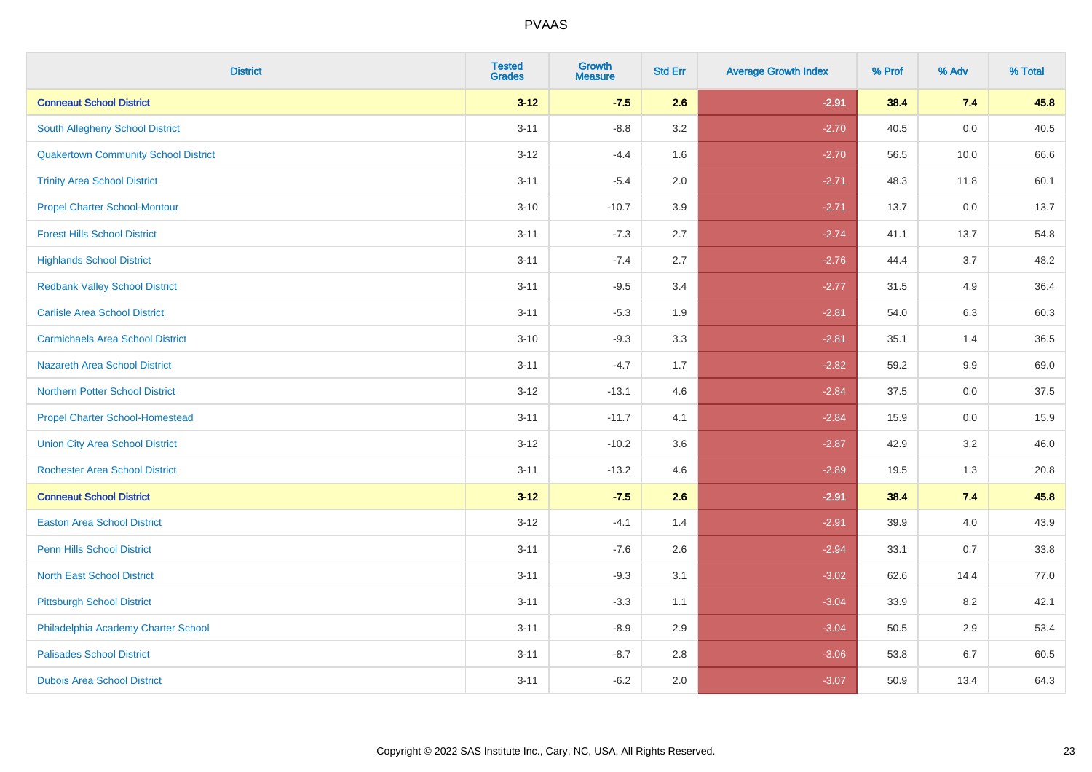| <b>District</b>                             | <b>Tested</b><br><b>Grades</b> | <b>Growth</b><br><b>Measure</b> | <b>Std Err</b> | <b>Average Growth Index</b> | % Prof | % Adv | % Total |
|---------------------------------------------|--------------------------------|---------------------------------|----------------|-----------------------------|--------|-------|---------|
| <b>Conneaut School District</b>             | $3 - 12$                       | $-7.5$                          | 2.6            | $-2.91$                     | 38.4   | 7.4   | 45.8    |
| South Allegheny School District             | $3 - 11$                       | $-8.8$                          | 3.2            | $-2.70$                     | 40.5   | 0.0   | 40.5    |
| <b>Quakertown Community School District</b> | $3 - 12$                       | $-4.4$                          | 1.6            | $-2.70$                     | 56.5   | 10.0  | 66.6    |
| <b>Trinity Area School District</b>         | $3 - 11$                       | $-5.4$                          | 2.0            | $-2.71$                     | 48.3   | 11.8  | 60.1    |
| <b>Propel Charter School-Montour</b>        | $3 - 10$                       | $-10.7$                         | 3.9            | $-2.71$                     | 13.7   | 0.0   | 13.7    |
| <b>Forest Hills School District</b>         | $3 - 11$                       | $-7.3$                          | 2.7            | $-2.74$                     | 41.1   | 13.7  | 54.8    |
| <b>Highlands School District</b>            | $3 - 11$                       | $-7.4$                          | 2.7            | $-2.76$                     | 44.4   | 3.7   | 48.2    |
| <b>Redbank Valley School District</b>       | $3 - 11$                       | $-9.5$                          | 3.4            | $-2.77$                     | 31.5   | 4.9   | 36.4    |
| <b>Carlisle Area School District</b>        | $3 - 11$                       | $-5.3$                          | 1.9            | $-2.81$                     | 54.0   | 6.3   | 60.3    |
| <b>Carmichaels Area School District</b>     | $3 - 10$                       | $-9.3$                          | 3.3            | $-2.81$                     | 35.1   | 1.4   | 36.5    |
| <b>Nazareth Area School District</b>        | $3 - 11$                       | $-4.7$                          | 1.7            | $-2.82$                     | 59.2   | 9.9   | 69.0    |
| <b>Northern Potter School District</b>      | $3-12$                         | $-13.1$                         | 4.6            | $-2.84$                     | 37.5   | 0.0   | 37.5    |
| <b>Propel Charter School-Homestead</b>      | $3 - 11$                       | $-11.7$                         | 4.1            | $-2.84$                     | 15.9   | 0.0   | 15.9    |
| <b>Union City Area School District</b>      | $3 - 12$                       | $-10.2$                         | 3.6            | $-2.87$                     | 42.9   | 3.2   | 46.0    |
| <b>Rochester Area School District</b>       | $3 - 11$                       | $-13.2$                         | 4.6            | $-2.89$                     | 19.5   | 1.3   | 20.8    |
| <b>Conneaut School District</b>             | $3 - 12$                       | $-7.5$                          | 2.6            | $-2.91$                     | 38.4   | 7.4   | 45.8    |
| <b>Easton Area School District</b>          | $3 - 12$                       | $-4.1$                          | 1.4            | $-2.91$                     | 39.9   | 4.0   | 43.9    |
| <b>Penn Hills School District</b>           | $3 - 11$                       | $-7.6$                          | 2.6            | $-2.94$                     | 33.1   | 0.7   | 33.8    |
| <b>North East School District</b>           | $3 - 11$                       | $-9.3$                          | 3.1            | $-3.02$                     | 62.6   | 14.4  | 77.0    |
| <b>Pittsburgh School District</b>           | $3 - 11$                       | $-3.3$                          | 1.1            | $-3.04$                     | 33.9   | 8.2   | 42.1    |
| Philadelphia Academy Charter School         | $3 - 11$                       | $-8.9$                          | 2.9            | $-3.04$                     | 50.5   | 2.9   | 53.4    |
| <b>Palisades School District</b>            | $3 - 11$                       | $-8.7$                          | 2.8            | $-3.06$                     | 53.8   | 6.7   | 60.5    |
| <b>Dubois Area School District</b>          | $3 - 11$                       | $-6.2$                          | 2.0            | $-3.07$                     | 50.9   | 13.4  | 64.3    |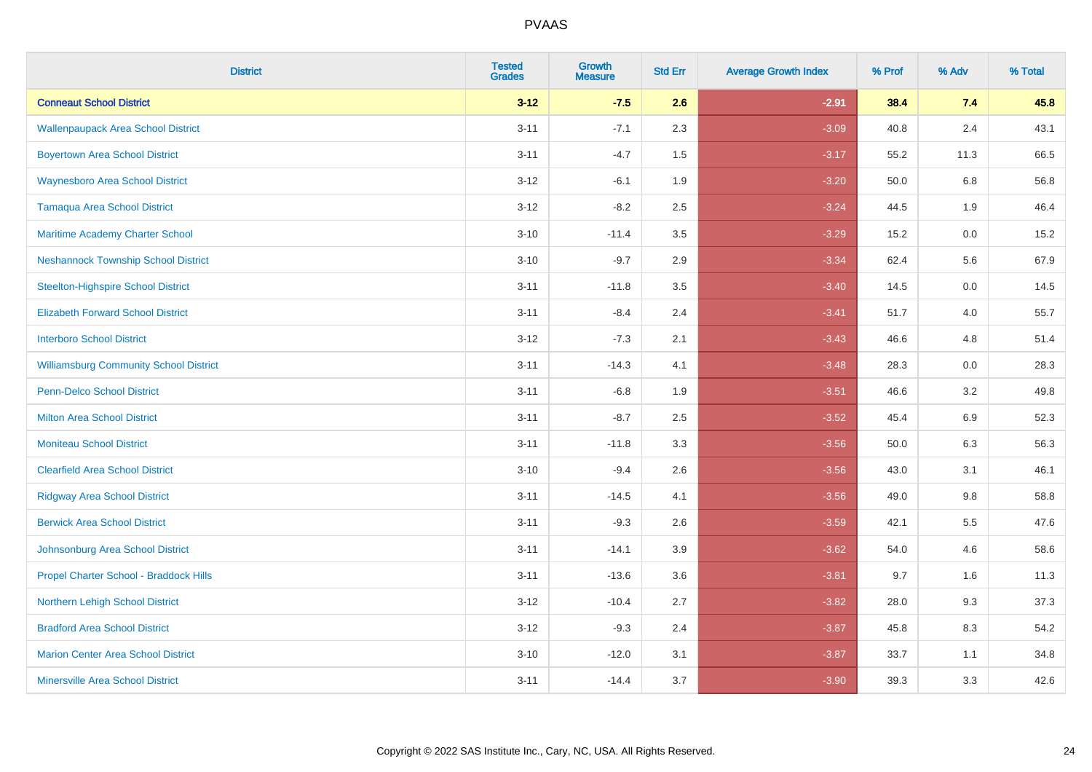| <b>District</b>                               | <b>Tested</b><br><b>Grades</b> | Growth<br><b>Measure</b> | <b>Std Err</b> | <b>Average Growth Index</b> | % Prof | % Adv   | % Total |
|-----------------------------------------------|--------------------------------|--------------------------|----------------|-----------------------------|--------|---------|---------|
| <b>Conneaut School District</b>               | $3 - 12$                       | $-7.5$                   | 2.6            | $-2.91$                     | 38.4   | 7.4     | 45.8    |
| <b>Wallenpaupack Area School District</b>     | $3 - 11$                       | $-7.1$                   | 2.3            | $-3.09$                     | 40.8   | 2.4     | 43.1    |
| <b>Boyertown Area School District</b>         | $3 - 11$                       | $-4.7$                   | 1.5            | $-3.17$                     | 55.2   | 11.3    | 66.5    |
| <b>Waynesboro Area School District</b>        | $3 - 12$                       | $-6.1$                   | 1.9            | $-3.20$                     | 50.0   | $6.8\,$ | 56.8    |
| <b>Tamaqua Area School District</b>           | $3 - 12$                       | $-8.2$                   | 2.5            | $-3.24$                     | 44.5   | 1.9     | 46.4    |
| Maritime Academy Charter School               | $3 - 10$                       | $-11.4$                  | 3.5            | $-3.29$                     | 15.2   | 0.0     | 15.2    |
| <b>Neshannock Township School District</b>    | $3 - 10$                       | $-9.7$                   | 2.9            | $-3.34$                     | 62.4   | 5.6     | 67.9    |
| <b>Steelton-Highspire School District</b>     | $3 - 11$                       | $-11.8$                  | 3.5            | $-3.40$                     | 14.5   | 0.0     | 14.5    |
| <b>Elizabeth Forward School District</b>      | $3 - 11$                       | $-8.4$                   | 2.4            | $-3.41$                     | 51.7   | 4.0     | 55.7    |
| <b>Interboro School District</b>              | $3 - 12$                       | $-7.3$                   | 2.1            | $-3.43$                     | 46.6   | 4.8     | 51.4    |
| <b>Williamsburg Community School District</b> | $3 - 11$                       | $-14.3$                  | 4.1            | $-3.48$                     | 28.3   | 0.0     | 28.3    |
| <b>Penn-Delco School District</b>             | $3 - 11$                       | $-6.8$                   | 1.9            | $-3.51$                     | 46.6   | 3.2     | 49.8    |
| <b>Milton Area School District</b>            | $3 - 11$                       | $-8.7$                   | 2.5            | $-3.52$                     | 45.4   | $6.9\,$ | 52.3    |
| <b>Moniteau School District</b>               | $3 - 11$                       | $-11.8$                  | 3.3            | $-3.56$                     | 50.0   | 6.3     | 56.3    |
| <b>Clearfield Area School District</b>        | $3 - 10$                       | $-9.4$                   | 2.6            | $-3.56$                     | 43.0   | 3.1     | 46.1    |
| <b>Ridgway Area School District</b>           | $3 - 11$                       | $-14.5$                  | 4.1            | $-3.56$                     | 49.0   | 9.8     | 58.8    |
| <b>Berwick Area School District</b>           | $3 - 11$                       | $-9.3$                   | 2.6            | $-3.59$                     | 42.1   | 5.5     | 47.6    |
| Johnsonburg Area School District              | $3 - 11$                       | $-14.1$                  | 3.9            | $-3.62$                     | 54.0   | 4.6     | 58.6    |
| Propel Charter School - Braddock Hills        | $3 - 11$                       | $-13.6$                  | 3.6            | $-3.81$                     | 9.7    | 1.6     | 11.3    |
| Northern Lehigh School District               | $3 - 12$                       | $-10.4$                  | 2.7            | $-3.82$                     | 28.0   | 9.3     | 37.3    |
| <b>Bradford Area School District</b>          | $3 - 12$                       | $-9.3$                   | 2.4            | $-3.87$                     | 45.8   | 8.3     | 54.2    |
| <b>Marion Center Area School District</b>     | $3 - 10$                       | $-12.0$                  | 3.1            | $-3.87$                     | 33.7   | 1.1     | 34.8    |
| <b>Minersville Area School District</b>       | $3 - 11$                       | $-14.4$                  | 3.7            | $-3.90$                     | 39.3   | 3.3     | 42.6    |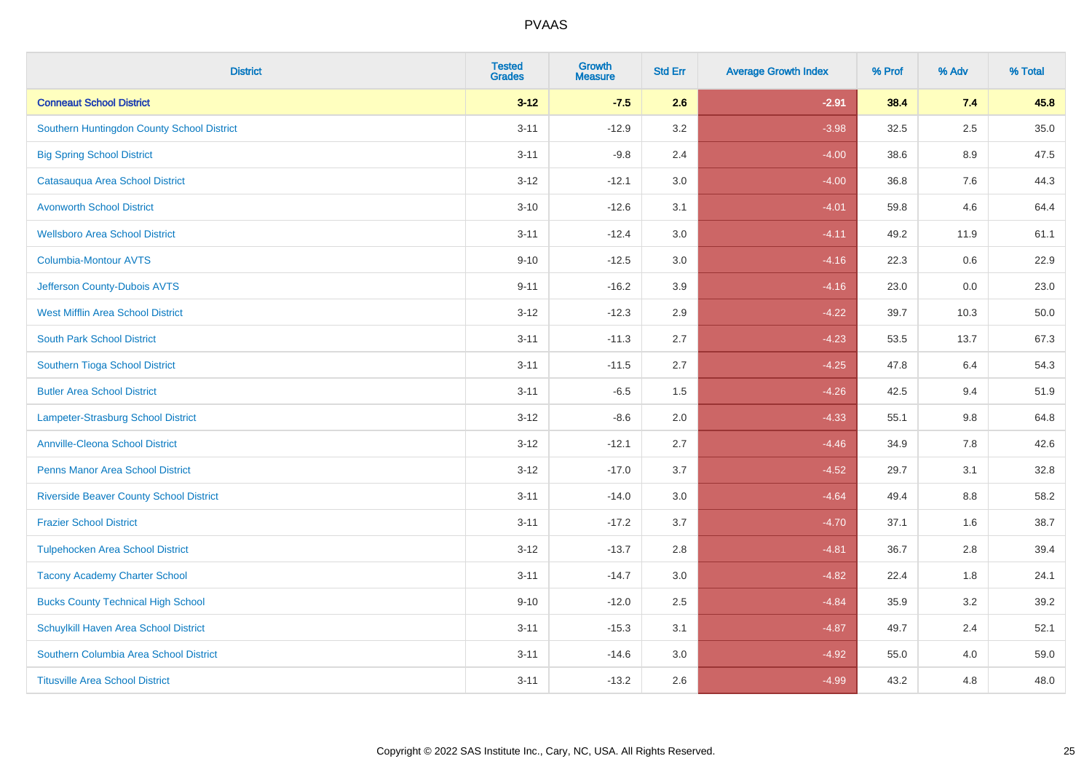| <b>District</b>                                | <b>Tested</b><br><b>Grades</b> | <b>Growth</b><br><b>Measure</b> | <b>Std Err</b> | <b>Average Growth Index</b> | % Prof | % Adv   | % Total |
|------------------------------------------------|--------------------------------|---------------------------------|----------------|-----------------------------|--------|---------|---------|
| <b>Conneaut School District</b>                | $3 - 12$                       | $-7.5$                          | 2.6            | $-2.91$                     | 38.4   | 7.4     | 45.8    |
| Southern Huntingdon County School District     | $3 - 11$                       | $-12.9$                         | 3.2            | $-3.98$                     | 32.5   | 2.5     | 35.0    |
| <b>Big Spring School District</b>              | $3 - 11$                       | $-9.8$                          | 2.4            | $-4.00$                     | 38.6   | 8.9     | 47.5    |
| Catasauqua Area School District                | $3 - 12$                       | $-12.1$                         | 3.0            | $-4.00$                     | 36.8   | $7.6\,$ | 44.3    |
| <b>Avonworth School District</b>               | $3 - 10$                       | $-12.6$                         | 3.1            | $-4.01$                     | 59.8   | 4.6     | 64.4    |
| <b>Wellsboro Area School District</b>          | $3 - 11$                       | $-12.4$                         | 3.0            | $-4.11$                     | 49.2   | 11.9    | 61.1    |
| Columbia-Montour AVTS                          | $9 - 10$                       | $-12.5$                         | 3.0            | $-4.16$                     | 22.3   | $0.6\,$ | 22.9    |
| Jefferson County-Dubois AVTS                   | $9 - 11$                       | $-16.2$                         | 3.9            | $-4.16$                     | 23.0   | 0.0     | 23.0    |
| <b>West Mifflin Area School District</b>       | $3 - 12$                       | $-12.3$                         | 2.9            | $-4.22$                     | 39.7   | 10.3    | 50.0    |
| <b>South Park School District</b>              | $3 - 11$                       | $-11.3$                         | 2.7            | $-4.23$                     | 53.5   | 13.7    | 67.3    |
| Southern Tioga School District                 | $3 - 11$                       | $-11.5$                         | 2.7            | $-4.25$                     | 47.8   | 6.4     | 54.3    |
| <b>Butler Area School District</b>             | $3 - 11$                       | $-6.5$                          | 1.5            | $-4.26$                     | 42.5   | 9.4     | 51.9    |
| <b>Lampeter-Strasburg School District</b>      | $3 - 12$                       | $-8.6$                          | 2.0            | $-4.33$                     | 55.1   | 9.8     | 64.8    |
| <b>Annville-Cleona School District</b>         | $3 - 12$                       | $-12.1$                         | 2.7            | $-4.46$                     | 34.9   | 7.8     | 42.6    |
| <b>Penns Manor Area School District</b>        | $3 - 12$                       | $-17.0$                         | 3.7            | $-4.52$                     | 29.7   | 3.1     | 32.8    |
| <b>Riverside Beaver County School District</b> | $3 - 11$                       | $-14.0$                         | 3.0            | $-4.64$                     | 49.4   | $8.8\,$ | 58.2    |
| <b>Frazier School District</b>                 | $3 - 11$                       | $-17.2$                         | 3.7            | $-4.70$                     | 37.1   | 1.6     | 38.7    |
| <b>Tulpehocken Area School District</b>        | $3 - 12$                       | $-13.7$                         | 2.8            | $-4.81$                     | 36.7   | 2.8     | 39.4    |
| <b>Tacony Academy Charter School</b>           | $3 - 11$                       | $-14.7$                         | 3.0            | $-4.82$                     | 22.4   | 1.8     | 24.1    |
| <b>Bucks County Technical High School</b>      | $9 - 10$                       | $-12.0$                         | 2.5            | $-4.84$                     | 35.9   | 3.2     | 39.2    |
| Schuylkill Haven Area School District          | $3 - 11$                       | $-15.3$                         | 3.1            | $-4.87$                     | 49.7   | 2.4     | 52.1    |
| Southern Columbia Area School District         | $3 - 11$                       | $-14.6$                         | 3.0            | $-4.92$                     | 55.0   | 4.0     | 59.0    |
| <b>Titusville Area School District</b>         | $3 - 11$                       | $-13.2$                         | 2.6            | $-4.99$                     | 43.2   | 4.8     | 48.0    |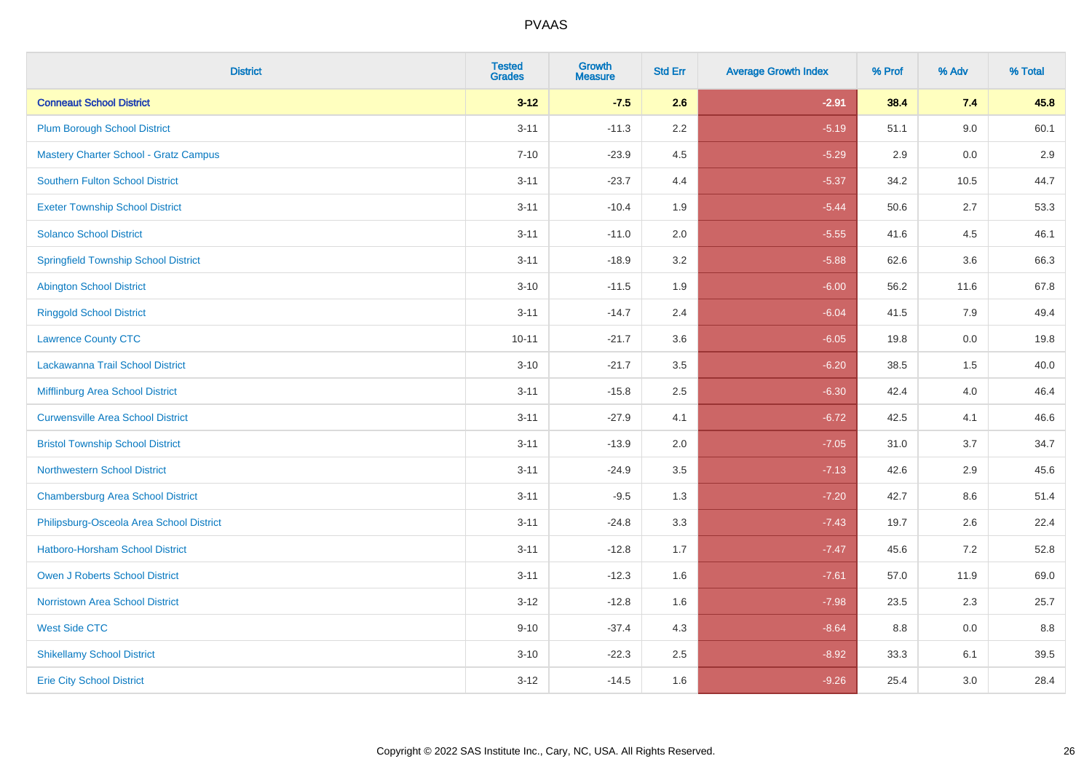| <b>District</b>                              | <b>Tested</b><br><b>Grades</b> | <b>Growth</b><br><b>Measure</b> | <b>Std Err</b> | <b>Average Growth Index</b> | % Prof | % Adv | % Total |
|----------------------------------------------|--------------------------------|---------------------------------|----------------|-----------------------------|--------|-------|---------|
| <b>Conneaut School District</b>              | $3 - 12$                       | $-7.5$                          | 2.6            | $-2.91$                     | 38.4   | 7.4   | 45.8    |
| <b>Plum Borough School District</b>          | $3 - 11$                       | $-11.3$                         | 2.2            | $-5.19$                     | 51.1   | 9.0   | 60.1    |
| <b>Mastery Charter School - Gratz Campus</b> | $7 - 10$                       | $-23.9$                         | 4.5            | $-5.29$                     | 2.9    | 0.0   | 2.9     |
| <b>Southern Fulton School District</b>       | $3 - 11$                       | $-23.7$                         | 4.4            | $-5.37$                     | 34.2   | 10.5  | 44.7    |
| <b>Exeter Township School District</b>       | $3 - 11$                       | $-10.4$                         | 1.9            | $-5.44$                     | 50.6   | 2.7   | 53.3    |
| <b>Solanco School District</b>               | $3 - 11$                       | $-11.0$                         | 2.0            | $-5.55$                     | 41.6   | 4.5   | 46.1    |
| <b>Springfield Township School District</b>  | $3 - 11$                       | $-18.9$                         | 3.2            | $-5.88$                     | 62.6   | 3.6   | 66.3    |
| <b>Abington School District</b>              | $3 - 10$                       | $-11.5$                         | 1.9            | $-6.00$                     | 56.2   | 11.6  | 67.8    |
| <b>Ringgold School District</b>              | $3 - 11$                       | $-14.7$                         | 2.4            | $-6.04$                     | 41.5   | 7.9   | 49.4    |
| <b>Lawrence County CTC</b>                   | $10 - 11$                      | $-21.7$                         | 3.6            | $-6.05$                     | 19.8   | 0.0   | 19.8    |
| Lackawanna Trail School District             | $3 - 10$                       | $-21.7$                         | 3.5            | $-6.20$                     | 38.5   | 1.5   | 40.0    |
| Mifflinburg Area School District             | $3 - 11$                       | $-15.8$                         | 2.5            | $-6.30$                     | 42.4   | 4.0   | 46.4    |
| <b>Curwensville Area School District</b>     | $3 - 11$                       | $-27.9$                         | 4.1            | $-6.72$                     | 42.5   | 4.1   | 46.6    |
| <b>Bristol Township School District</b>      | $3 - 11$                       | $-13.9$                         | 2.0            | $-7.05$                     | 31.0   | 3.7   | 34.7    |
| <b>Northwestern School District</b>          | $3 - 11$                       | $-24.9$                         | 3.5            | $-7.13$                     | 42.6   | 2.9   | 45.6    |
| <b>Chambersburg Area School District</b>     | $3 - 11$                       | $-9.5$                          | 1.3            | $-7.20$                     | 42.7   | 8.6   | 51.4    |
| Philipsburg-Osceola Area School District     | $3 - 11$                       | $-24.8$                         | 3.3            | $-7.43$                     | 19.7   | 2.6   | 22.4    |
| <b>Hatboro-Horsham School District</b>       | $3 - 11$                       | $-12.8$                         | 1.7            | $-7.47$                     | 45.6   | 7.2   | 52.8    |
| <b>Owen J Roberts School District</b>        | $3 - 11$                       | $-12.3$                         | 1.6            | $-7.61$                     | 57.0   | 11.9  | 69.0    |
| <b>Norristown Area School District</b>       | $3 - 12$                       | $-12.8$                         | 1.6            | $-7.98$                     | 23.5   | 2.3   | 25.7    |
| <b>West Side CTC</b>                         | $9 - 10$                       | $-37.4$                         | 4.3            | $-8.64$                     | 8.8    | 0.0   | 8.8     |
| <b>Shikellamy School District</b>            | $3 - 10$                       | $-22.3$                         | 2.5            | $-8.92$                     | 33.3   | 6.1   | 39.5    |
| <b>Erie City School District</b>             | $3 - 12$                       | $-14.5$                         | 1.6            | $-9.26$                     | 25.4   | 3.0   | 28.4    |